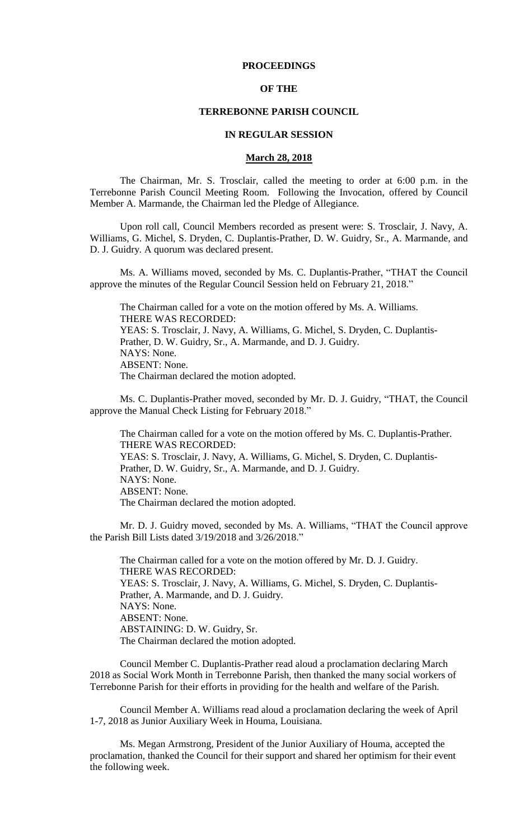# **PROCEEDINGS**

## **OF THE**

#### **TERREBONNE PARISH COUNCIL**

#### **IN REGULAR SESSION**

#### **March 28, 2018**

The Chairman, Mr. S. Trosclair, called the meeting to order at 6:00 p.m. in the Terrebonne Parish Council Meeting Room. Following the Invocation, offered by Council Member A. Marmande, the Chairman led the Pledge of Allegiance.

Upon roll call, Council Members recorded as present were: S. Trosclair, J. Navy, A. Williams, G. Michel, S. Dryden, C. Duplantis-Prather, D. W. Guidry, Sr., A. Marmande, and D. J. Guidry. A quorum was declared present.

Ms. A. Williams moved, seconded by Ms. C. Duplantis-Prather, "THAT the Council approve the minutes of the Regular Council Session held on February 21, 2018."

The Chairman called for a vote on the motion offered by Ms. A. Williams. THERE WAS RECORDED: YEAS: S. Trosclair, J. Navy, A. Williams, G. Michel, S. Dryden, C. Duplantis-Prather, D. W. Guidry, Sr., A. Marmande, and D. J. Guidry. NAYS: None. ABSENT: None. The Chairman declared the motion adopted.

Ms. C. Duplantis-Prather moved, seconded by Mr. D. J. Guidry, "THAT, the Council approve the Manual Check Listing for February 2018."

The Chairman called for a vote on the motion offered by Ms. C. Duplantis-Prather. THERE WAS RECORDED: YEAS: S. Trosclair, J. Navy, A. Williams, G. Michel, S. Dryden, C. Duplantis-Prather, D. W. Guidry, Sr., A. Marmande, and D. J. Guidry. NAYS: None. ABSENT: None. The Chairman declared the motion adopted.

Mr. D. J. Guidry moved, seconded by Ms. A. Williams, "THAT the Council approve the Parish Bill Lists dated 3/19/2018 and 3/26/2018."

The Chairman called for a vote on the motion offered by Mr. D. J. Guidry. THERE WAS RECORDED: YEAS: S. Trosclair, J. Navy, A. Williams, G. Michel, S. Dryden, C. Duplantis-Prather, A. Marmande, and D. J. Guidry. NAYS: None. ABSENT: None. ABSTAINING: D. W. Guidry, Sr. The Chairman declared the motion adopted.

Council Member C. Duplantis-Prather read aloud a proclamation declaring March 2018 as Social Work Month in Terrebonne Parish, then thanked the many social workers of Terrebonne Parish for their efforts in providing for the health and welfare of the Parish.

Council Member A. Williams read aloud a proclamation declaring the week of April 1-7, 2018 as Junior Auxiliary Week in Houma, Louisiana.

Ms. Megan Armstrong, President of the Junior Auxiliary of Houma, accepted the proclamation, thanked the Council for their support and shared her optimism for their event the following week.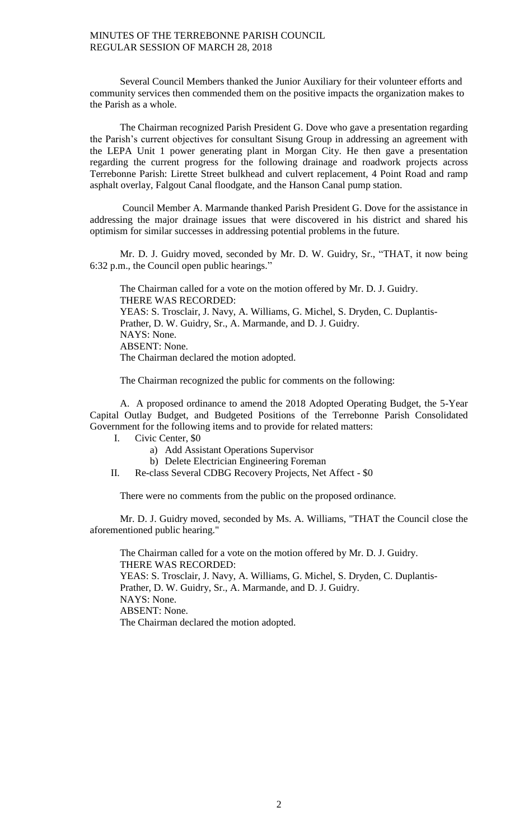Several Council Members thanked the Junior Auxiliary for their volunteer efforts and community services then commended them on the positive impacts the organization makes to the Parish as a whole.

The Chairman recognized Parish President G. Dove who gave a presentation regarding the Parish's current objectives for consultant Sisung Group in addressing an agreement with the LEPA Unit 1 power generating plant in Morgan City. He then gave a presentation regarding the current progress for the following drainage and roadwork projects across Terrebonne Parish: Lirette Street bulkhead and culvert replacement, 4 Point Road and ramp asphalt overlay, Falgout Canal floodgate, and the Hanson Canal pump station.

Council Member A. Marmande thanked Parish President G. Dove for the assistance in addressing the major drainage issues that were discovered in his district and shared his optimism for similar successes in addressing potential problems in the future.

Mr. D. J. Guidry moved, seconded by Mr. D. W. Guidry, Sr., "THAT, it now being 6:32 p.m., the Council open public hearings."

The Chairman called for a vote on the motion offered by Mr. D. J. Guidry. THERE WAS RECORDED: YEAS: S. Trosclair, J. Navy, A. Williams, G. Michel, S. Dryden, C. Duplantis-Prather, D. W. Guidry, Sr., A. Marmande, and D. J. Guidry. NAYS: None. ABSENT: None. The Chairman declared the motion adopted.

The Chairman recognized the public for comments on the following:

A. A proposed ordinance to amend the 2018 Adopted Operating Budget, the 5-Year Capital Outlay Budget, and Budgeted Positions of the Terrebonne Parish Consolidated Government for the following items and to provide for related matters:

- I. Civic Center, \$0
	- a) Add Assistant Operations Supervisor
	- b) Delete Electrician Engineering Foreman
- II. Re-class Several CDBG Recovery Projects, Net Affect \$0

There were no comments from the public on the proposed ordinance.

Mr. D. J. Guidry moved, seconded by Ms. A. Williams, "THAT the Council close the aforementioned public hearing."

The Chairman called for a vote on the motion offered by Mr. D. J. Guidry. THERE WAS RECORDED: YEAS: S. Trosclair, J. Navy, A. Williams, G. Michel, S. Dryden, C. Duplantis-Prather, D. W. Guidry, Sr., A. Marmande, and D. J. Guidry. NAYS: None. ABSENT: None. The Chairman declared the motion adopted.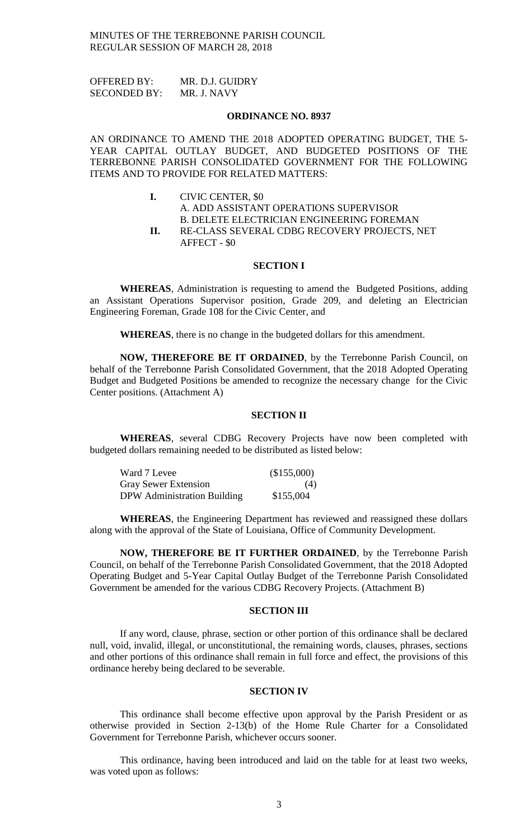OFFERED BY: MR. D.J. GUIDRY SECONDED BY: MR. J. NAVY

#### **ORDINANCE NO. 8937**

AN ORDINANCE TO AMEND THE 2018 ADOPTED OPERATING BUDGET, THE 5- YEAR CAPITAL OUTLAY BUDGET, AND BUDGETED POSITIONS OF THE TERREBONNE PARISH CONSOLIDATED GOVERNMENT FOR THE FOLLOWING ITEMS AND TO PROVIDE FOR RELATED MATTERS:

> **I.** CIVIC CENTER, \$0 A. ADD ASSISTANT OPERATIONS SUPERVISOR B. DELETE ELECTRICIAN ENGINEERING FOREMAN **II.** RE-CLASS SEVERAL CDBG RECOVERY PROJECTS, NET AFFECT - \$0

#### **SECTION I**

**WHEREAS**, Administration is requesting to amend the Budgeted Positions, adding an Assistant Operations Supervisor position, Grade 209, and deleting an Electrician Engineering Foreman, Grade 108 for the Civic Center, and

**WHEREAS**, there is no change in the budgeted dollars for this amendment.

**NOW, THEREFORE BE IT ORDAINED**, by the Terrebonne Parish Council, on behalf of the Terrebonne Parish Consolidated Government, that the 2018 Adopted Operating Budget and Budgeted Positions be amended to recognize the necessary change for the Civic Center positions. (Attachment A)

# **SECTION II**

**WHEREAS**, several CDBG Recovery Projects have now been completed with budgeted dollars remaining needed to be distributed as listed below:

| Ward 7 Levee                | (\$155,000) |
|-----------------------------|-------------|
| <b>Gray Sewer Extension</b> | (4)         |
| DPW Administration Building | \$155,004   |

**WHEREAS**, the Engineering Department has reviewed and reassigned these dollars along with the approval of the State of Louisiana, Office of Community Development.

**NOW, THEREFORE BE IT FURTHER ORDAINED**, by the Terrebonne Parish Council, on behalf of the Terrebonne Parish Consolidated Government, that the 2018 Adopted Operating Budget and 5-Year Capital Outlay Budget of the Terrebonne Parish Consolidated Government be amended for the various CDBG Recovery Projects. (Attachment B)

#### **SECTION III**

If any word, clause, phrase, section or other portion of this ordinance shall be declared null, void, invalid, illegal, or unconstitutional, the remaining words, clauses, phrases, sections and other portions of this ordinance shall remain in full force and effect, the provisions of this ordinance hereby being declared to be severable.

#### **SECTION IV**

This ordinance shall become effective upon approval by the Parish President or as otherwise provided in Section 2-13(b) of the Home Rule Charter for a Consolidated Government for Terrebonne Parish, whichever occurs sooner.

This ordinance, having been introduced and laid on the table for at least two weeks, was voted upon as follows: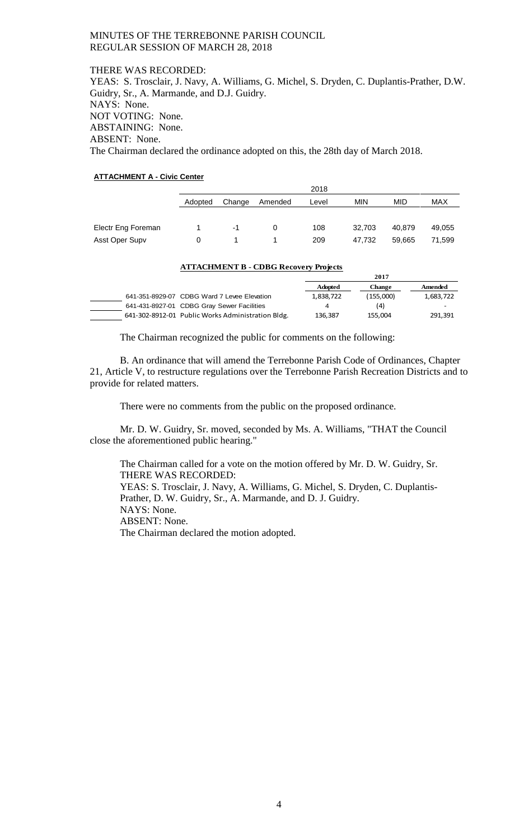THERE WAS RECORDED: YEAS: S. Trosclair, J. Navy, A. Williams, G. Michel, S. Dryden, C. Duplantis-Prather, D.W. Guidry, Sr., A. Marmande, and D.J. Guidry. NAYS: None. NOT VOTING: None. ABSTAINING: None. ABSENT: None. The Chairman declared the ordinance adopted on this, the 28th day of March 2018.

# **ATTACHMENT A - Civic Center**

|                    |         | 2018                                     |   |     |        |        |        |
|--------------------|---------|------------------------------------------|---|-----|--------|--------|--------|
|                    | Adopted | MIN<br>MID<br>Change<br>Amended<br>Level |   |     |        |        | MAX    |
|                    |         |                                          |   |     |        |        |        |
| Electr Eng Foreman |         | -1                                       | 0 | 108 | 32.703 | 40.879 | 49,055 |
| Asst Oper Supv     |         |                                          |   | 209 | 47.732 | 59,665 | 71,599 |

#### **ATTACHMENT B - CDBG Recovery Projects**

|                                                   | 2017           |               |           |
|---------------------------------------------------|----------------|---------------|-----------|
|                                                   | <b>Adopted</b> | <b>Change</b> | Amended   |
| 641-351-8929-07 CDBG Ward 7 Levee Elevation       | 1,838,722      | (155.000)     | 1,683,722 |
| 641-431-8927-01 CDBG Gray Sewer Facilities        | 4              | (4)           |           |
| 641-302-8912-01 Public Works Administration Bldg. | 136.387        | 155.004       | 291,391   |

The Chairman recognized the public for comments on the following:

B. An ordinance that will amend the Terrebonne Parish Code of Ordinances, Chapter 21, Article V, to restructure regulations over the Terrebonne Parish Recreation Districts and to provide for related matters.

There were no comments from the public on the proposed ordinance.

Mr. D. W. Guidry, Sr. moved, seconded by Ms. A. Williams, "THAT the Council close the aforementioned public hearing."

The Chairman called for a vote on the motion offered by Mr. D. W. Guidry, Sr. THERE WAS RECORDED: YEAS: S. Trosclair, J. Navy, A. Williams, G. Michel, S. Dryden, C. Duplantis-Prather, D. W. Guidry, Sr., A. Marmande, and D. J. Guidry. NAYS: None. ABSENT: None. The Chairman declared the motion adopted.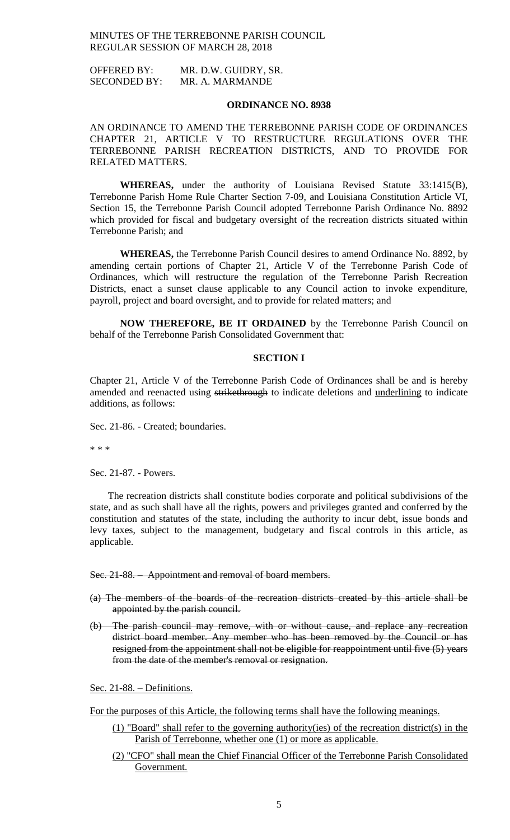OFFERED BY: MR. D.W. GUIDRY, SR. SECONDED BY: MR. A. MARMANDE

#### **ORDINANCE NO. 8938**

AN ORDINANCE TO AMEND THE TERREBONNE PARISH CODE OF ORDINANCES CHAPTER 21, ARTICLE V TO RESTRUCTURE REGULATIONS OVER THE TERREBONNE PARISH RECREATION DISTRICTS, AND TO PROVIDE FOR RELATED MATTERS.

**WHEREAS,** under the authority of Louisiana Revised Statute 33:1415(B), Terrebonne Parish Home Rule Charter Section 7-09, and Louisiana Constitution Article VI, Section 15, the Terrebonne Parish Council adopted Terrebonne Parish Ordinance No. 8892 which provided for fiscal and budgetary oversight of the recreation districts situated within Terrebonne Parish; and

**WHEREAS,** the Terrebonne Parish Council desires to amend Ordinance No. 8892, by amending certain portions of Chapter 21, Article V of the Terrebonne Parish Code of Ordinances, which will restructure the regulation of the Terrebonne Parish Recreation Districts, enact a sunset clause applicable to any Council action to invoke expenditure, payroll, project and board oversight, and to provide for related matters; and

**NOW THEREFORE, BE IT ORDAINED** by the Terrebonne Parish Council on behalf of the Terrebonne Parish Consolidated Government that:

### **SECTION I**

Chapter 21, Article V of the Terrebonne Parish Code of Ordinances shall be and is hereby amended and reenacted using strikethrough to indicate deletions and underlining to indicate additions, as follows:

Sec. 21-86. - Created; boundaries.

\* \* \*

Sec. 21-87. - Powers.

The recreation districts shall constitute bodies corporate and political subdivisions of the state, and as such shall have all the rights, powers and privileges granted and conferred by the constitution and statutes of the state, including the authority to incur debt, issue bonds and levy taxes, subject to the management, budgetary and fiscal controls in this article, as applicable.

#### Sec. 21-88. Appointment and removal of board members.

- (a) The members of the boards of the recreation districts created by this article shall be appointed by the parish council.
- (b) The parish council may remove, with or without cause, and replace any recreation district board member. Any member who has been removed by the Council or has resigned from the appointment shall not be eligible for reappointment until five (5) years from the date of the member's removal or resignation.

Sec. 21-88. – Definitions.

For the purposes of this Article, the following terms shall have the following meanings.

- (1) "Board" shall refer to the governing authority(ies) of the recreation district(s) in the Parish of Terrebonne, whether one (1) or more as applicable.
- (2) "CFO" shall mean the Chief Financial Officer of the Terrebonne Parish Consolidated Government.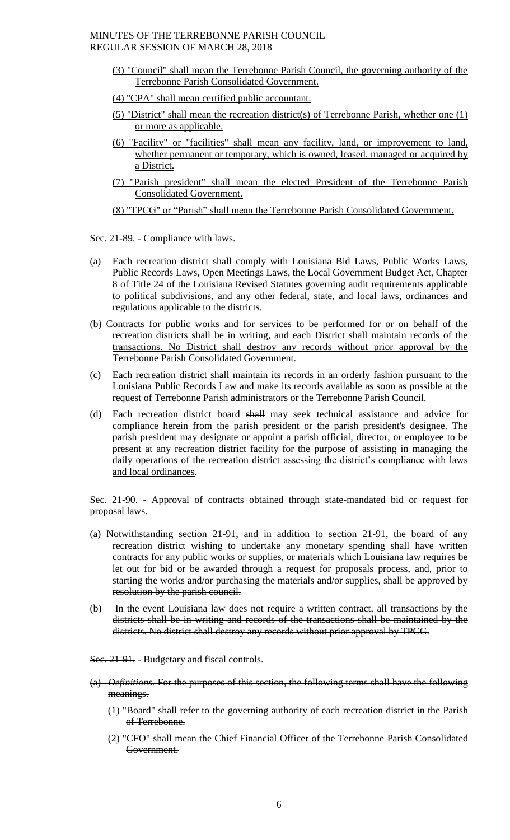- (3) "Council" shall mean the Terrebonne Parish Council, the governing authority of the Terrebonne Parish Consolidated Government.
- (4) "CPA" shall mean certified public accountant.
- (5) "District" shall mean the recreation district(s) of Terrebonne Parish, whether one (1) or more as applicable.
- (6) "Facility" or "facilities" shall mean any facility, land, or improvement to land, whether permanent or temporary, which is owned, leased, managed or acquired by a District.
- (7) "Parish president" shall mean the elected President of the Terrebonne Parish Consolidated Government.

(8) "TPCG" or "Parish" shall mean the Terrebonne Parish Consolidated Government.

Sec. 21-89. - Compliance with laws.

- (a) Each recreation district shall comply with Louisiana Bid Laws, Public Works Laws, Public Records Laws, Open Meetings Laws, the Local Government Budget Act, Chapter 8 of Title 24 of the Louisiana Revised Statutes governing audit requirements applicable to political subdivisions, and any other federal, state, and local laws, ordinances and regulations applicable to the districts.
- (b) Contracts for public works and for services to be performed for or on behalf of the recreation districts shall be in writing, and each District shall maintain records of the transactions. No District shall destroy any records without prior approval by the Terrebonne Parish Consolidated Government.
- (c) Each recreation district shall maintain its records in an orderly fashion pursuant to the Louisiana Public Records Law and make its records available as soon as possible at the request of Terrebonne Parish administrators or the Terrebonne Parish Council.
- (d) Each recreation district board shall may seek technical assistance and advice for compliance herein from the parish president or the parish president's designee. The parish president may designate or appoint a parish official, director, or employee to be present at any recreation district facility for the purpose of assisting in managing the daily operations of the recreation district assessing the district's compliance with laws and local ordinances.

Sec. 21-90.— Approval of contracts obtained through state-mandated bid or request for proposal laws.

- (a) Notwithstanding section 21-91, and in addition to section 21-91, the board of any recreation district wishing to undertake any monetary spending shall have written contracts for any public works or supplies, or materials which Louisiana law requires be let out for bid or be awarded through a request for proposals process, and, prior to starting the works and/or purchasing the materials and/or supplies, shall be approved by resolution by the parish council.
- (b) In the event Louisiana law does not require a written contract, all transactions by the districts shall be in writing and records of the transactions shall be maintained by the districts. No district shall destroy any records without prior approval by TPCG.
- Sec. 21-91. Budgetary and fiscal controls.
- (a) *Definitions.* For the purposes of this section, the following terms shall have the following meanings.
	- (1) "Board" shall refer to the governing authority of each recreation district in the Parish of Terrebonne.
	- (2) "CFO" shall mean the Chief Financial Officer of the Terrebonne Parish Consolidated Government.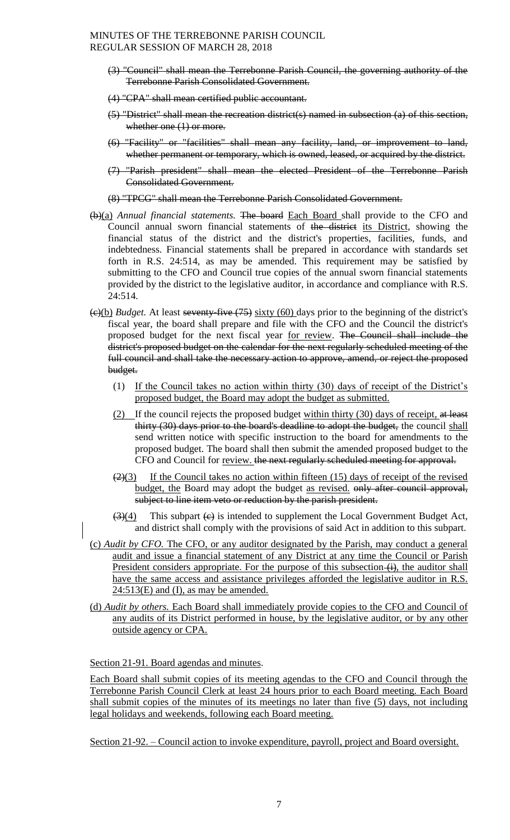- (3) "Council" shall mean the Terrebonne Parish Council, the governing authority of the Terrebonne Parish Consolidated Government.
- (4) "CPA" shall mean certified public accountant.
- (5) "District" shall mean the recreation district(s) named in subsection (a) of this section, whether one  $(1)$  or more.
- (6) "Facility" or "facilities" shall mean any facility, land, or improvement to land, whether permanent or temporary, which is owned, leased, or acquired by the district.
- (7) "Parish president" shall mean the elected President of the Terrebonne Parish Consolidated Government.

(8) "TPCG" shall mean the Terrebonne Parish Consolidated Government.

- (b)(a) *Annual financial statements.* The board Each Board shall provide to the CFO and Council annual sworn financial statements of the district its District, showing the financial status of the district and the district's properties, facilities, funds, and indebtedness. Financial statements shall be prepared in accordance with standards set forth in R.S. 24:514, as may be amended. This requirement may be satisfied by submitting to the CFO and Council true copies of the annual sworn financial statements provided by the district to the legislative auditor, in accordance and compliance with R.S. 24:514.
- (c)(b) *Budget.* At least seventy-five (75) sixty (60) days prior to the beginning of the district's fiscal year, the board shall prepare and file with the CFO and the Council the district's proposed budget for the next fiscal year for review. The Council shall include the district's proposed budget on the calendar for the next regularly scheduled meeting of the full council and shall take the necessary action to approve, amend, or reject the proposed budget.
	- (1) If the Council takes no action within thirty (30) days of receipt of the District's proposed budget, the Board may adopt the budget as submitted.
	- (2) If the council rejects the proposed budget within thirty  $(30)$  days of receipt, at least thirty (30) days prior to the board's deadline to adopt the budget, the council shall send written notice with specific instruction to the board for amendments to the proposed budget. The board shall then submit the amended proposed budget to the CFO and Council for review. the next regularly scheduled meeting for approval.
	- $\left( \frac{2}{3} \right)$  If the Council takes no action within fifteen (15) days of receipt of the revised budget, the Board may adopt the budget as revised. only after council approval, subject to line item veto or reduction by the parish president.
	- $\left(\frac{3}{4}\right)$  This subpart  $\left(\frac{c}{2}\right)$  is intended to supplement the Local Government Budget Act, and district shall comply with the provisions of said Act in addition to this subpart.
- (c) *Audit by CFO.* The CFO, or any auditor designated by the Parish, may conduct a general audit and issue a financial statement of any District at any time the Council or Parish President considers appropriate. For the purpose of this subsection  $(i)$ , the auditor shall have the same access and assistance privileges afforded the legislative auditor in R.S.  $24:513(E)$  and (I), as may be amended.
- (d) *Audit by others.* Each Board shall immediately provide copies to the CFO and Council of any audits of its District performed in house, by the legislative auditor, or by any other outside agency or CPA.

Section 21-91. Board agendas and minutes.

Each Board shall submit copies of its meeting agendas to the CFO and Council through the Terrebonne Parish Council Clerk at least 24 hours prior to each Board meeting. Each Board shall submit copies of the minutes of its meetings no later than five (5) days, not including legal holidays and weekends, following each Board meeting.

Section 21-92. – Council action to invoke expenditure, payroll, project and Board oversight.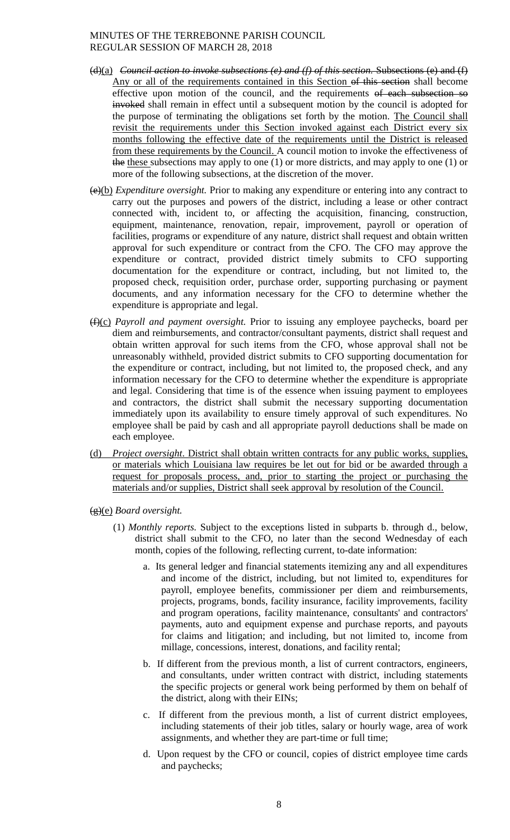- (d)(a) *Council action to invoke subsections (e) and (f) of this section.* Subsections (e) and (f) Any or all of the requirements contained in this Section of this section shall become effective upon motion of the council, and the requirements of each subsection so invoked shall remain in effect until a subsequent motion by the council is adopted for the purpose of terminating the obligations set forth by the motion. The Council shall revisit the requirements under this Section invoked against each District every six months following the effective date of the requirements until the District is released from these requirements by the Council. A council motion to invoke the effectiveness of the these subsections may apply to one (1) or more districts, and may apply to one (1) or more of the following subsections, at the discretion of the mover.
- (e)(b) *Expenditure oversight.* Prior to making any expenditure or entering into any contract to carry out the purposes and powers of the district, including a lease or other contract connected with, incident to, or affecting the acquisition, financing, construction, equipment, maintenance, renovation, repair, improvement, payroll or operation of facilities, programs or expenditure of any nature, district shall request and obtain written approval for such expenditure or contract from the CFO. The CFO may approve the expenditure or contract, provided district timely submits to CFO supporting documentation for the expenditure or contract, including, but not limited to, the proposed check, requisition order, purchase order, supporting purchasing or payment documents, and any information necessary for the CFO to determine whether the expenditure is appropriate and legal.
- (f)(c) *Payroll and payment oversight.* Prior to issuing any employee paychecks, board per diem and reimbursements, and contractor/consultant payments, district shall request and obtain written approval for such items from the CFO, whose approval shall not be unreasonably withheld, provided district submits to CFO supporting documentation for the expenditure or contract, including, but not limited to, the proposed check, and any information necessary for the CFO to determine whether the expenditure is appropriate and legal. Considering that time is of the essence when issuing payment to employees and contractors, the district shall submit the necessary supporting documentation immediately upon its availability to ensure timely approval of such expenditures. No employee shall be paid by cash and all appropriate payroll deductions shall be made on each employee.
- (d) *Project oversight*. District shall obtain written contracts for any public works, supplies, or materials which Louisiana law requires be let out for bid or be awarded through a request for proposals process, and, prior to starting the project or purchasing the materials and/or supplies, District shall seek approval by resolution of the Council.
- (g)(e) *Board oversight.*
	- (1) *Monthly reports.* Subject to the exceptions listed in subparts b. through d., below, district shall submit to the CFO, no later than the second Wednesday of each month, copies of the following, reflecting current, to-date information:
		- a. Its general ledger and financial statements itemizing any and all expenditures and income of the district, including, but not limited to, expenditures for payroll, employee benefits, commissioner per diem and reimbursements, projects, programs, bonds, facility insurance, facility improvements, facility and program operations, facility maintenance, consultants' and contractors' payments, auto and equipment expense and purchase reports, and payouts for claims and litigation; and including, but not limited to, income from millage, concessions, interest, donations, and facility rental;
		- b. If different from the previous month, a list of current contractors, engineers, and consultants, under written contract with district, including statements the specific projects or general work being performed by them on behalf of the district, along with their EINs;
		- c. If different from the previous month, a list of current district employees, including statements of their job titles, salary or hourly wage, area of work assignments, and whether they are part-time or full time;
		- d. Upon request by the CFO or council, copies of district employee time cards and paychecks;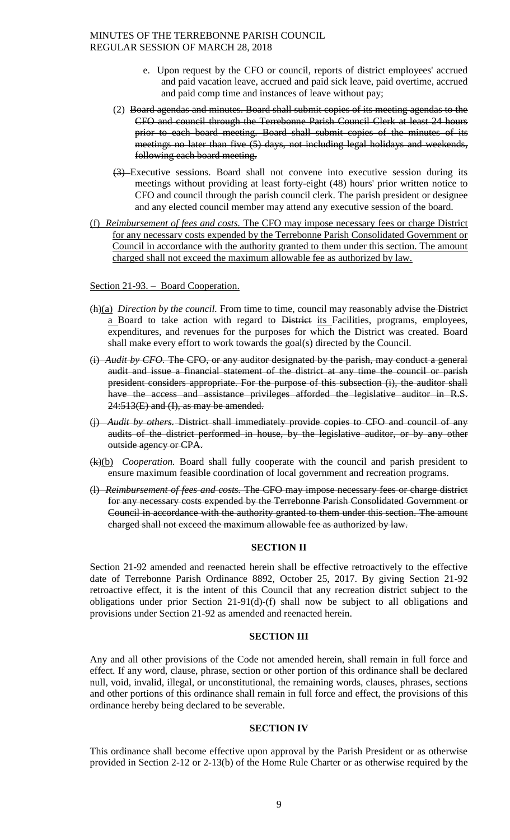- e. Upon request by the CFO or council, reports of district employees' accrued and paid vacation leave, accrued and paid sick leave, paid overtime, accrued and paid comp time and instances of leave without pay;
- (2) Board agendas and minutes. Board shall submit copies of its meeting agendas to the CFO and council through the Terrebonne Parish Council Clerk at least 24 hours prior to each board meeting. Board shall submit copies of the minutes of its meetings no later than five (5) days, not including legal holidays and weekends, following each board meeting.
- (3) Executive sessions. Board shall not convene into executive session during its meetings without providing at least forty-eight (48) hours' prior written notice to CFO and council through the parish council clerk. The parish president or designee and any elected council member may attend any executive session of the board.
- (f) *Reimbursement of fees and costs.* The CFO may impose necessary fees or charge District for any necessary costs expended by the Terrebonne Parish Consolidated Government or Council in accordance with the authority granted to them under this section. The amount charged shall not exceed the maximum allowable fee as authorized by law.

### Section 21-93. – Board Cooperation.

- (h)(a) *Direction by the council.* From time to time, council may reasonably advise the District a Board to take action with regard to District its Facilities, programs, employees, expenditures, and revenues for the purposes for which the District was created. Board shall make every effort to work towards the goal(s) directed by the Council.
- (i) *Audit by CFO.* The CFO, or any auditor designated by the parish, may conduct a general audit and issue a financial statement of the district at any time the council or parish president considers appropriate. For the purpose of this subsection (i), the auditor shall have the access and assistance privileges afforded the legislative auditor in R.S.  $24:513(E)$  and  $(I)$ , as may be amended.
- (j) *Audit by others.* District shall immediately provide copies to CFO and council of any audits of the district performed in house, by the legislative auditor, or by any other outside agency or CPA.
- (k)(b) *Cooperation.* Board shall fully cooperate with the council and parish president to ensure maximum feasible coordination of local government and recreation programs.
- (l) *Reimbursement of fees and costs.* The CFO may impose necessary fees or charge district for any necessary costs expended by the Terrebonne Parish Consolidated Government or Council in accordance with the authority granted to them under this section. The amount charged shall not exceed the maximum allowable fee as authorized by law.

#### **SECTION II**

Section 21-92 amended and reenacted herein shall be effective retroactively to the effective date of Terrebonne Parish Ordinance 8892, October 25, 2017. By giving Section 21-92 retroactive effect, it is the intent of this Council that any recreation district subject to the obligations under prior Section 21-91(d)-(f) shall now be subject to all obligations and provisions under Section 21-92 as amended and reenacted herein.

### **SECTION III**

Any and all other provisions of the Code not amended herein, shall remain in full force and effect. If any word, clause, phrase, section or other portion of this ordinance shall be declared null, void, invalid, illegal, or unconstitutional, the remaining words, clauses, phrases, sections and other portions of this ordinance shall remain in full force and effect, the provisions of this ordinance hereby being declared to be severable.

### **SECTION IV**

This ordinance shall become effective upon approval by the Parish President or as otherwise provided in Section 2-12 or 2-13(b) of the Home Rule Charter or as otherwise required by the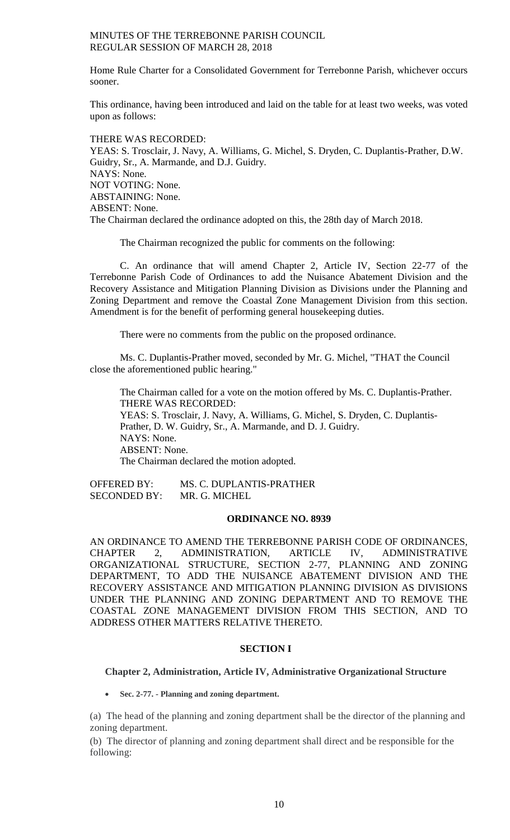Home Rule Charter for a Consolidated Government for Terrebonne Parish, whichever occurs sooner.

This ordinance, having been introduced and laid on the table for at least two weeks, was voted upon as follows:

THERE WAS RECORDED: YEAS: S. Trosclair, J. Navy, A. Williams, G. Michel, S. Dryden, C. Duplantis-Prather, D.W. Guidry, Sr., A. Marmande, and D.J. Guidry. NAYS: None. NOT VOTING: None. ABSTAINING: None. ABSENT: None. The Chairman declared the ordinance adopted on this, the 28th day of March 2018.

The Chairman recognized the public for comments on the following:

C. An ordinance that will amend Chapter 2, Article IV, Section 22-77 of the Terrebonne Parish Code of Ordinances to add the Nuisance Abatement Division and the Recovery Assistance and Mitigation Planning Division as Divisions under the Planning and Zoning Department and remove the Coastal Zone Management Division from this section. Amendment is for the benefit of performing general housekeeping duties.

There were no comments from the public on the proposed ordinance.

Ms. C. Duplantis-Prather moved, seconded by Mr. G. Michel, "THAT the Council close the aforementioned public hearing."

The Chairman called for a vote on the motion offered by Ms. C. Duplantis-Prather. THERE WAS RECORDED: YEAS: S. Trosclair, J. Navy, A. Williams, G. Michel, S. Dryden, C. Duplantis-Prather, D. W. Guidry, Sr., A. Marmande, and D. J. Guidry. NAYS: None. ABSENT: None. The Chairman declared the motion adopted.

OFFERED BY: MS. C. DUPLANTIS-PRATHER SECONDED BY: MR. G. MICHEL

## **ORDINANCE NO. 8939**

AN ORDINANCE TO AMEND THE TERREBONNE PARISH CODE OF ORDINANCES, CHAPTER 2, ADMINISTRATION, ARTICLE IV, ADMINISTRATIVE ORGANIZATIONAL STRUCTURE, SECTION 2-77, PLANNING AND ZONING DEPARTMENT, TO ADD THE NUISANCE ABATEMENT DIVISION AND THE RECOVERY ASSISTANCE AND MITIGATION PLANNING DIVISION AS DIVISIONS UNDER THE PLANNING AND ZONING DEPARTMENT AND TO REMOVE THE COASTAL ZONE MANAGEMENT DIVISION FROM THIS SECTION, AND TO ADDRESS OTHER MATTERS RELATIVE THERETO.

# **SECTION I**

#### **Chapter 2, Administration, Article IV, Administrative Organizational Structure**

**Sec. 2-77. - Planning and zoning department.**

(a) The head of the planning and zoning department shall be the director of the planning and zoning department.

(b) The director of planning and zoning department shall direct and be responsible for the following: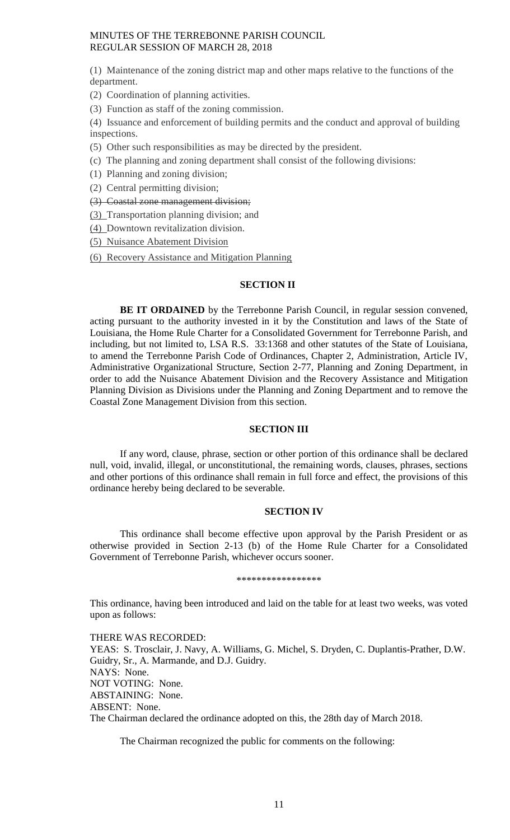(1) Maintenance of the zoning district map and other maps relative to the functions of the department.

(2) Coordination of planning activities.

(3) Function as staff of the zoning commission.

(4) Issuance and enforcement of building permits and the conduct and approval of building inspections.

(5) Other such responsibilities as may be directed by the president.

- (c) The planning and zoning department shall consist of the following divisions:
- (1) Planning and zoning division;
- (2) Central permitting division;
- (3) Coastal zone management division;
- (3) Transportation planning division; and

(4) Downtown revitalization division.

(5) Nuisance Abatement Division

(6) Recovery Assistance and Mitigation Planning

# **SECTION II**

BE IT ORDAINED by the Terrebonne Parish Council, in regular session convened, acting pursuant to the authority invested in it by the Constitution and laws of the State of Louisiana, the Home Rule Charter for a Consolidated Government for Terrebonne Parish, and including, but not limited to, LSA R.S. 33:1368 and other statutes of the State of Louisiana, to amend the Terrebonne Parish Code of Ordinances, Chapter 2, Administration, Article IV, Administrative Organizational Structure, Section 2-77, Planning and Zoning Department, in order to add the Nuisance Abatement Division and the Recovery Assistance and Mitigation Planning Division as Divisions under the Planning and Zoning Department and to remove the Coastal Zone Management Division from this section.

# **SECTION III**

If any word, clause, phrase, section or other portion of this ordinance shall be declared null, void, invalid, illegal, or unconstitutional, the remaining words, clauses, phrases, sections and other portions of this ordinance shall remain in full force and effect, the provisions of this ordinance hereby being declared to be severable.

### **SECTION IV**

This ordinance shall become effective upon approval by the Parish President or as otherwise provided in Section 2-13 (b) of the Home Rule Charter for a Consolidated Government of Terrebonne Parish, whichever occurs sooner.

#### \*\*\*\*\*\*\*\*\*\*\*\*\*\*\*\*\*

This ordinance, having been introduced and laid on the table for at least two weeks, was voted upon as follows:

THERE WAS RECORDED: YEAS: S. Trosclair, J. Navy, A. Williams, G. Michel, S. Dryden, C. Duplantis-Prather, D.W. Guidry, Sr., A. Marmande, and D.J. Guidry. NAYS: None. NOT VOTING: None. ABSTAINING: None. ABSENT: None. The Chairman declared the ordinance adopted on this, the 28th day of March 2018.

The Chairman recognized the public for comments on the following: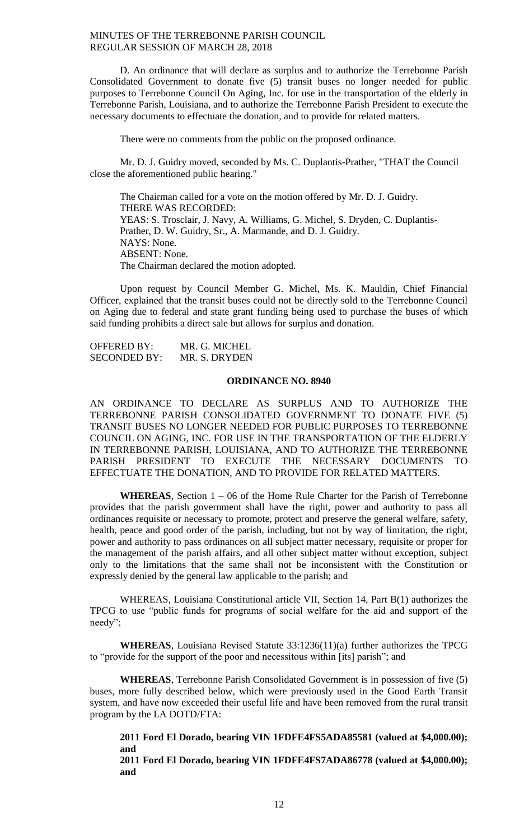D. An ordinance that will declare as surplus and to authorize the Terrebonne Parish Consolidated Government to donate five (5) transit buses no longer needed for public purposes to Terrebonne Council On Aging, Inc. for use in the transportation of the elderly in Terrebonne Parish, Louisiana, and to authorize the Terrebonne Parish President to execute the necessary documents to effectuate the donation, and to provide for related matters.

There were no comments from the public on the proposed ordinance.

Mr. D. J. Guidry moved, seconded by Ms. C. Duplantis-Prather, "THAT the Council close the aforementioned public hearing."

The Chairman called for a vote on the motion offered by Mr. D. J. Guidry. THERE WAS RECORDED: YEAS: S. Trosclair, J. Navy, A. Williams, G. Michel, S. Dryden, C. Duplantis-Prather, D. W. Guidry, Sr., A. Marmande, and D. J. Guidry. NAYS: None. ABSENT: None. The Chairman declared the motion adopted.

Upon request by Council Member G. Michel, Ms. K. Mauldin, Chief Financial Officer, explained that the transit buses could not be directly sold to the Terrebonne Council on Aging due to federal and state grant funding being used to purchase the buses of which said funding prohibits a direct sale but allows for surplus and donation.

OFFERED BY: MR. G. MICHEL SECONDED BY: MR. S. DRYDEN

## **ORDINANCE NO. 8940**

AN ORDINANCE TO DECLARE AS SURPLUS AND TO AUTHORIZE THE TERREBONNE PARISH CONSOLIDATED GOVERNMENT TO DONATE FIVE (5) TRANSIT BUSES NO LONGER NEEDED FOR PUBLIC PURPOSES TO TERREBONNE COUNCIL ON AGING, INC. FOR USE IN THE TRANSPORTATION OF THE ELDERLY IN TERREBONNE PARISH, LOUISIANA, AND TO AUTHORIZE THE TERREBONNE PARISH PRESIDENT TO EXECUTE THE NECESSARY DOCUMENTS TO EFFECTUATE THE DONATION, AND TO PROVIDE FOR RELATED MATTERS.

**WHEREAS**, Section 1 – 06 of the Home Rule Charter for the Parish of Terrebonne provides that the parish government shall have the right, power and authority to pass all ordinances requisite or necessary to promote, protect and preserve the general welfare, safety, health, peace and good order of the parish, including, but not by way of limitation, the right, power and authority to pass ordinances on all subject matter necessary, requisite or proper for the management of the parish affairs, and all other subject matter without exception, subject only to the limitations that the same shall not be inconsistent with the Constitution or expressly denied by the general law applicable to the parish; and

WHEREAS, Louisiana Constitutional article VII, Section 14, Part B(1) authorizes the TPCG to use "public funds for programs of social welfare for the aid and support of the needy";

**WHEREAS**, Louisiana Revised Statute 33:1236(11)(a) further authorizes the TPCG to "provide for the support of the poor and necessitous within [its] parish"; and

**WHEREAS**, Terrebonne Parish Consolidated Government is in possession of five (5) buses, more fully described below, which were previously used in the Good Earth Transit system, and have now exceeded their useful life and have been removed from the rural transit program by the LA DOTD/FTA:

**2011 Ford El Dorado, bearing VIN 1FDFE4FS5ADA85581 (valued at \$4,000.00); and**

**2011 Ford El Dorado, bearing VIN 1FDFE4FS7ADA86778 (valued at \$4,000.00); and**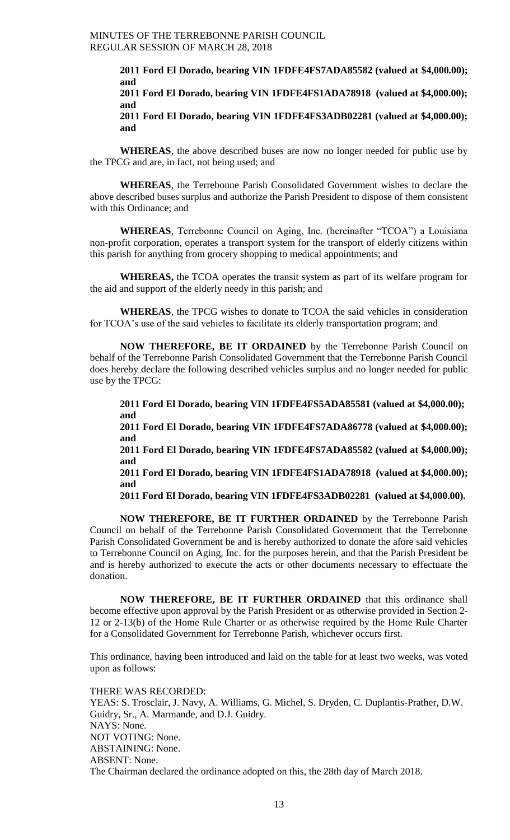**2011 Ford El Dorado, bearing VIN 1FDFE4FS7ADA85582 (valued at \$4,000.00); and 2011 Ford El Dorado, bearing VIN 1FDFE4FS1ADA78918 (valued at \$4,000.00); and** 

**2011 Ford El Dorado, bearing VIN 1FDFE4FS3ADB02281 (valued at \$4,000.00); and**

**WHEREAS**, the above described buses are now no longer needed for public use by the TPCG and are, in fact, not being used; and

**WHEREAS**, the Terrebonne Parish Consolidated Government wishes to declare the above described buses surplus and authorize the Parish President to dispose of them consistent with this Ordinance; and

**WHEREAS**, Terrebonne Council on Aging, Inc. (hereinafter "TCOA") a Louisiana non-profit corporation, operates a transport system for the transport of elderly citizens within this parish for anything from grocery shopping to medical appointments; and

**WHEREAS,** the TCOA operates the transit system as part of its welfare program for the aid and support of the elderly needy in this parish; and

**WHEREAS**, the TPCG wishes to donate to TCOA the said vehicles in consideration for TCOA's use of the said vehicles to facilitate its elderly transportation program; and

**NOW THEREFORE, BE IT ORDAINED** by the Terrebonne Parish Council on behalf of the Terrebonne Parish Consolidated Government that the Terrebonne Parish Council does hereby declare the following described vehicles surplus and no longer needed for public use by the TPCG:

**2011 Ford El Dorado, bearing VIN 1FDFE4FS5ADA85581 (valued at \$4,000.00); and 2011 Ford El Dorado, bearing VIN 1FDFE4FS7ADA86778 (valued at \$4,000.00); and 2011 Ford El Dorado, bearing VIN 1FDFE4FS7ADA85582 (valued at \$4,000.00); and 2011 Ford El Dorado, bearing VIN 1FDFE4FS1ADA78918 (valued at \$4,000.00);** 

**and 2011 Ford El Dorado, bearing VIN 1FDFE4FS3ADB02281 (valued at \$4,000.00).**

**NOW THEREFORE, BE IT FURTHER ORDAINED** by the Terrebonne Parish Council on behalf of the Terrebonne Parish Consolidated Government that the Terrebonne Parish Consolidated Government be and is hereby authorized to donate the afore said vehicles to Terrebonne Council on Aging, Inc. for the purposes herein, and that the Parish President be and is hereby authorized to execute the acts or other documents necessary to effectuate the donation.

**NOW THEREFORE, BE IT FURTHER ORDAINED** that this ordinance shall become effective upon approval by the Parish President or as otherwise provided in Section 2- 12 or 2-13(b) of the Home Rule Charter or as otherwise required by the Home Rule Charter for a Consolidated Government for Terrebonne Parish, whichever occurs first.

This ordinance, having been introduced and laid on the table for at least two weeks, was voted upon as follows:

THERE WAS RECORDED: YEAS: S. Trosclair, J. Navy, A. Williams, G. Michel, S. Dryden, C. Duplantis-Prather, D.W. Guidry, Sr., A. Marmande, and D.J. Guidry. NAYS: None. NOT VOTING: None. ABSTAINING: None. ABSENT: None. The Chairman declared the ordinance adopted on this, the 28th day of March 2018.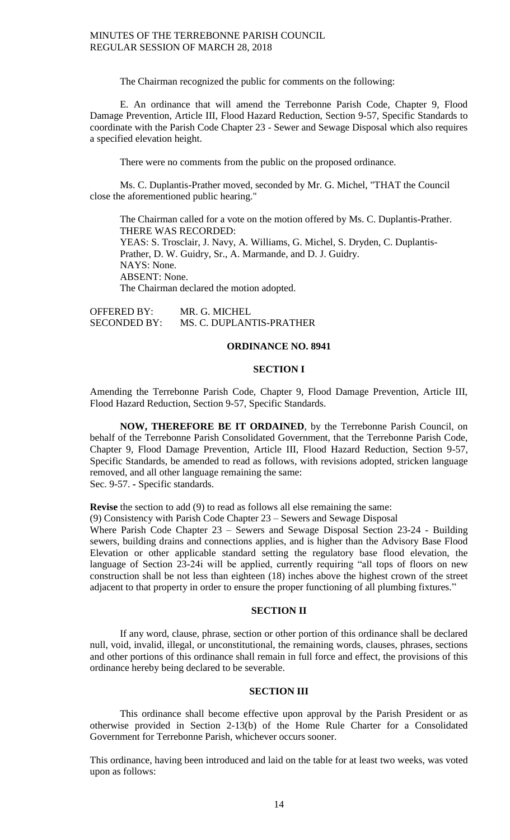The Chairman recognized the public for comments on the following:

E. An ordinance that will amend the Terrebonne Parish Code, Chapter 9, Flood Damage Prevention, Article III, Flood Hazard Reduction, Section 9-57, Specific Standards to coordinate with the Parish Code Chapter 23 - Sewer and Sewage Disposal which also requires a specified elevation height.

There were no comments from the public on the proposed ordinance.

Ms. C. Duplantis-Prather moved, seconded by Mr. G. Michel, "THAT the Council close the aforementioned public hearing."

The Chairman called for a vote on the motion offered by Ms. C. Duplantis-Prather. THERE WAS RECORDED: YEAS: S. Trosclair, J. Navy, A. Williams, G. Michel, S. Dryden, C. Duplantis-Prather, D. W. Guidry, Sr., A. Marmande, and D. J. Guidry. NAYS: None. ABSENT: None. The Chairman declared the motion adopted.

OFFERED BY: MR. G. MICHEL SECONDED BY: MS. C. DUPLANTIS-PRATHER

# **ORDINANCE NO. 8941**

### **SECTION I**

Amending the Terrebonne Parish Code, Chapter 9, Flood Damage Prevention, Article III, Flood Hazard Reduction, Section 9-57, Specific Standards.

**NOW, THEREFORE BE IT ORDAINED**, by the Terrebonne Parish Council, on behalf of the Terrebonne Parish Consolidated Government, that the Terrebonne Parish Code, Chapter 9, Flood Damage Prevention, Article III, Flood Hazard Reduction, Section 9-57, Specific Standards, be amended to read as follows, with revisions adopted, stricken language removed, and all other language remaining the same: Sec. 9-57. **-** Specific standards.

**Revise** the section to add (9) to read as follows all else remaining the same:

(9) Consistency with Parish Code Chapter 23 – Sewers and Sewage Disposal

Where Parish Code Chapter 23 – Sewers and Sewage Disposal Section 23-24 - Building sewers, building drains and connections applies, and is higher than the Advisory Base Flood Elevation or other applicable standard setting the regulatory base flood elevation, the language of Section 23-24i will be applied, currently requiring "all tops of floors on new construction shall be not less than eighteen (18) inches above the highest crown of the street adjacent to that property in order to ensure the proper functioning of all plumbing fixtures."

# **SECTION II**

If any word, clause, phrase, section or other portion of this ordinance shall be declared null, void, invalid, illegal, or unconstitutional, the remaining words, clauses, phrases, sections and other portions of this ordinance shall remain in full force and effect, the provisions of this ordinance hereby being declared to be severable.

## **SECTION III**

This ordinance shall become effective upon approval by the Parish President or as otherwise provided in Section 2-13(b) of the Home Rule Charter for a Consolidated Government for Terrebonne Parish, whichever occurs sooner.

This ordinance, having been introduced and laid on the table for at least two weeks, was voted upon as follows: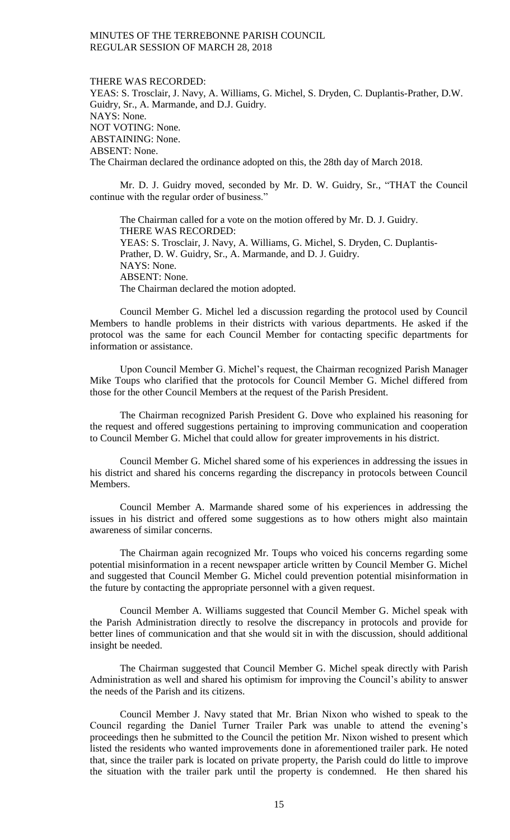#### THERE WAS RECORDED:

YEAS: S. Trosclair, J. Navy, A. Williams, G. Michel, S. Dryden, C. Duplantis-Prather, D.W. Guidry, Sr., A. Marmande, and D.J. Guidry. NAYS: None. NOT VOTING: None. ABSTAINING: None. ABSENT: None. The Chairman declared the ordinance adopted on this, the 28th day of March 2018.

Mr. D. J. Guidry moved, seconded by Mr. D. W. Guidry, Sr., "THAT the Council continue with the regular order of business."

The Chairman called for a vote on the motion offered by Mr. D. J. Guidry. THERE WAS RECORDED: YEAS: S. Trosclair, J. Navy, A. Williams, G. Michel, S. Dryden, C. Duplantis-Prather, D. W. Guidry, Sr., A. Marmande, and D. J. Guidry. NAYS: None. ABSENT: None. The Chairman declared the motion adopted.

Council Member G. Michel led a discussion regarding the protocol used by Council Members to handle problems in their districts with various departments. He asked if the protocol was the same for each Council Member for contacting specific departments for information or assistance.

Upon Council Member G. Michel's request, the Chairman recognized Parish Manager Mike Toups who clarified that the protocols for Council Member G. Michel differed from those for the other Council Members at the request of the Parish President.

The Chairman recognized Parish President G. Dove who explained his reasoning for the request and offered suggestions pertaining to improving communication and cooperation to Council Member G. Michel that could allow for greater improvements in his district.

Council Member G. Michel shared some of his experiences in addressing the issues in his district and shared his concerns regarding the discrepancy in protocols between Council Members.

Council Member A. Marmande shared some of his experiences in addressing the issues in his district and offered some suggestions as to how others might also maintain awareness of similar concerns.

The Chairman again recognized Mr. Toups who voiced his concerns regarding some potential misinformation in a recent newspaper article written by Council Member G. Michel and suggested that Council Member G. Michel could prevention potential misinformation in the future by contacting the appropriate personnel with a given request.

Council Member A. Williams suggested that Council Member G. Michel speak with the Parish Administration directly to resolve the discrepancy in protocols and provide for better lines of communication and that she would sit in with the discussion, should additional insight be needed.

The Chairman suggested that Council Member G. Michel speak directly with Parish Administration as well and shared his optimism for improving the Council's ability to answer the needs of the Parish and its citizens.

Council Member J. Navy stated that Mr. Brian Nixon who wished to speak to the Council regarding the Daniel Turner Trailer Park was unable to attend the evening's proceedings then he submitted to the Council the petition Mr. Nixon wished to present which listed the residents who wanted improvements done in aforementioned trailer park. He noted that, since the trailer park is located on private property, the Parish could do little to improve the situation with the trailer park until the property is condemned. He then shared his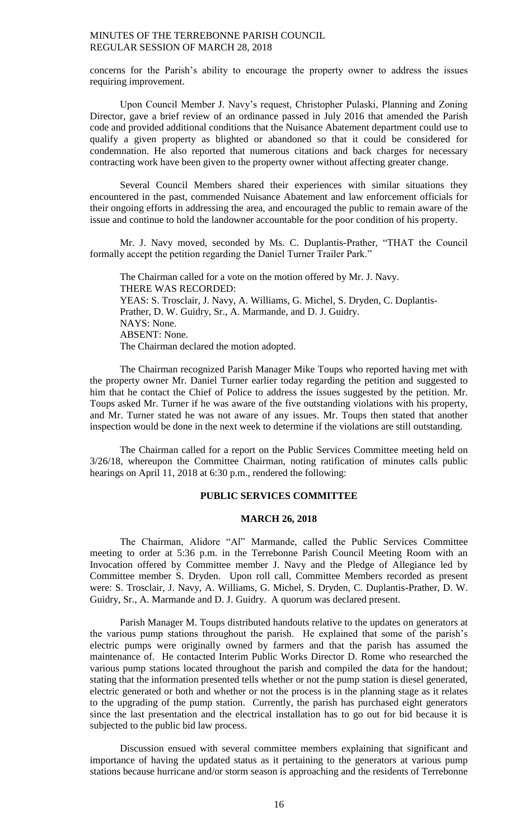concerns for the Parish's ability to encourage the property owner to address the issues requiring improvement.

Upon Council Member J. Navy's request, Christopher Pulaski, Planning and Zoning Director, gave a brief review of an ordinance passed in July 2016 that amended the Parish code and provided additional conditions that the Nuisance Abatement department could use to qualify a given property as blighted or abandoned so that it could be considered for condemnation. He also reported that numerous citations and back charges for necessary contracting work have been given to the property owner without affecting greater change.

Several Council Members shared their experiences with similar situations they encountered in the past, commended Nuisance Abatement and law enforcement officials for their ongoing efforts in addressing the area, and encouraged the public to remain aware of the issue and continue to hold the landowner accountable for the poor condition of his property.

Mr. J. Navy moved, seconded by Ms. C. Duplantis-Prather, "THAT the Council formally accept the petition regarding the Daniel Turner Trailer Park."

The Chairman called for a vote on the motion offered by Mr. J. Navy. THERE WAS RECORDED: YEAS: S. Trosclair, J. Navy, A. Williams, G. Michel, S. Dryden, C. Duplantis-Prather, D. W. Guidry, Sr., A. Marmande, and D. J. Guidry. NAYS: None. ABSENT: None. The Chairman declared the motion adopted.

The Chairman recognized Parish Manager Mike Toups who reported having met with the property owner Mr. Daniel Turner earlier today regarding the petition and suggested to him that he contact the Chief of Police to address the issues suggested by the petition. Mr. Toups asked Mr. Turner if he was aware of the five outstanding violations with his property, and Mr. Turner stated he was not aware of any issues. Mr. Toups then stated that another inspection would be done in the next week to determine if the violations are still outstanding.

The Chairman called for a report on the Public Services Committee meeting held on 3/26/18, whereupon the Committee Chairman, noting ratification of minutes calls public hearings on April 11, 2018 at 6:30 p.m., rendered the following:

# **PUBLIC SERVICES COMMITTEE**

# **MARCH 26, 2018**

The Chairman, Alidore "Al" Marmande, called the Public Services Committee meeting to order at 5:36 p.m. in the Terrebonne Parish Council Meeting Room with an Invocation offered by Committee member J. Navy and the Pledge of Allegiance led by Committee member S. Dryden. Upon roll call, Committee Members recorded as present were: S. Trosclair, J. Navy, A. Williams, G. Michel, S. Dryden, C. Duplantis-Prather, D. W. Guidry, Sr., A. Marmande and D. J. Guidry. A quorum was declared present.

Parish Manager M. Toups distributed handouts relative to the updates on generators at the various pump stations throughout the parish. He explained that some of the parish's electric pumps were originally owned by farmers and that the parish has assumed the maintenance of. He contacted Interim Public Works Director D. Rome who researched the various pump stations located throughout the parish and compiled the data for the handout; stating that the information presented tells whether or not the pump station is diesel generated, electric generated or both and whether or not the process is in the planning stage as it relates to the upgrading of the pump station. Currently, the parish has purchased eight generators since the last presentation and the electrical installation has to go out for bid because it is subjected to the public bid law process.

Discussion ensued with several committee members explaining that significant and importance of having the updated status as it pertaining to the generators at various pump stations because hurricane and/or storm season is approaching and the residents of Terrebonne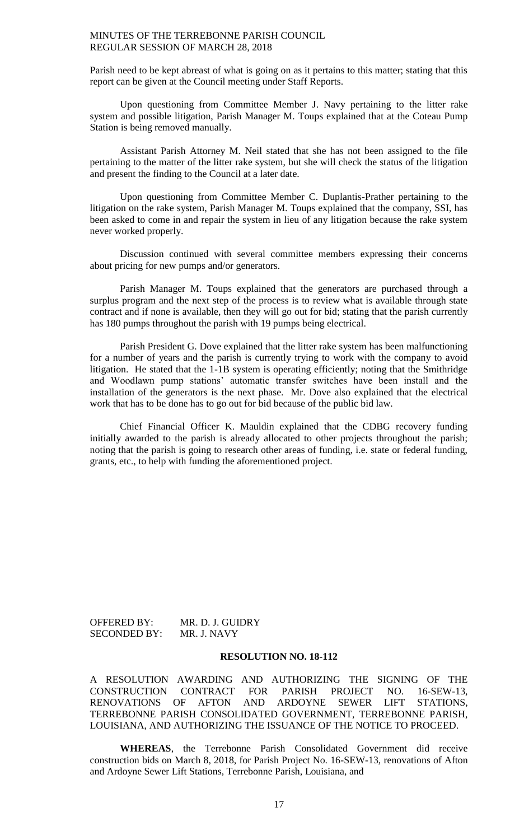Parish need to be kept abreast of what is going on as it pertains to this matter; stating that this report can be given at the Council meeting under Staff Reports.

Upon questioning from Committee Member J. Navy pertaining to the litter rake system and possible litigation, Parish Manager M. Toups explained that at the Coteau Pump Station is being removed manually.

Assistant Parish Attorney M. Neil stated that she has not been assigned to the file pertaining to the matter of the litter rake system, but she will check the status of the litigation and present the finding to the Council at a later date.

Upon questioning from Committee Member C. Duplantis-Prather pertaining to the litigation on the rake system, Parish Manager M. Toups explained that the company, SSI, has been asked to come in and repair the system in lieu of any litigation because the rake system never worked properly.

Discussion continued with several committee members expressing their concerns about pricing for new pumps and/or generators.

Parish Manager M. Toups explained that the generators are purchased through a surplus program and the next step of the process is to review what is available through state contract and if none is available, then they will go out for bid; stating that the parish currently has 180 pumps throughout the parish with 19 pumps being electrical.

Parish President G. Dove explained that the litter rake system has been malfunctioning for a number of years and the parish is currently trying to work with the company to avoid litigation. He stated that the 1-1B system is operating efficiently; noting that the Smithridge and Woodlawn pump stations' automatic transfer switches have been install and the installation of the generators is the next phase. Mr. Dove also explained that the electrical work that has to be done has to go out for bid because of the public bid law.

Chief Financial Officer K. Mauldin explained that the CDBG recovery funding initially awarded to the parish is already allocated to other projects throughout the parish; noting that the parish is going to research other areas of funding, i.e. state or federal funding, grants, etc., to help with funding the aforementioned project.

| <b>OFFERED BY:</b>  | MR. D. J. GUIDRY |
|---------------------|------------------|
| <b>SECONDED BY:</b> | MR. J. NAVY      |

## **RESOLUTION NO. 18-112**

A RESOLUTION AWARDING AND AUTHORIZING THE SIGNING OF THE CONSTRUCTION CONTRACT FOR PARISH PROJECT NO. 16-SEW-13, RENOVATIONS OF AFTON AND ARDOYNE SEWER LIFT STATIONS, TERREBONNE PARISH CONSOLIDATED GOVERNMENT, TERREBONNE PARISH, LOUISIANA, AND AUTHORIZING THE ISSUANCE OF THE NOTICE TO PROCEED.

**WHEREAS**, the Terrebonne Parish Consolidated Government did receive construction bids on March 8, 2018, for Parish Project No. 16-SEW-13, renovations of Afton and Ardoyne Sewer Lift Stations, Terrebonne Parish, Louisiana, and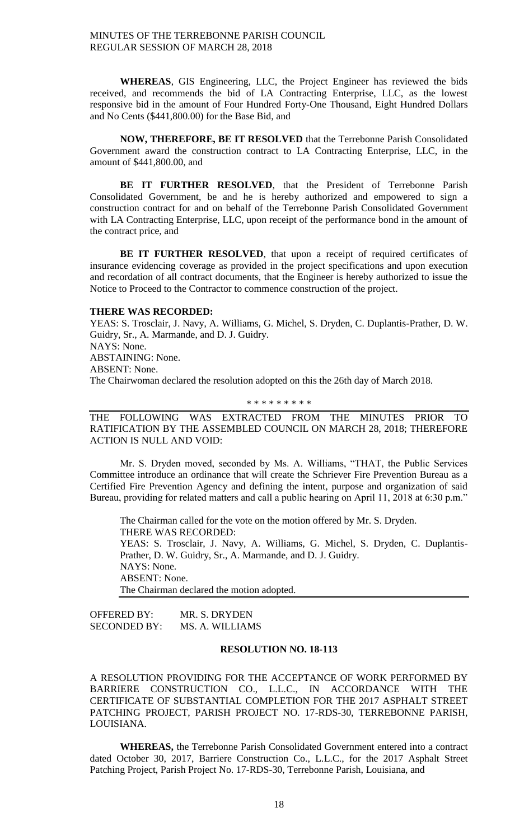**WHEREAS**, GIS Engineering, LLC, the Project Engineer has reviewed the bids received, and recommends the bid of LA Contracting Enterprise, LLC, as the lowest responsive bid in the amount of Four Hundred Forty-One Thousand, Eight Hundred Dollars and No Cents (\$441,800.00) for the Base Bid, and

**NOW, THEREFORE, BE IT RESOLVED** that the Terrebonne Parish Consolidated Government award the construction contract to LA Contracting Enterprise, LLC, in the amount of \$441,800.00, and

**BE IT FURTHER RESOLVED**, that the President of Terrebonne Parish Consolidated Government, be and he is hereby authorized and empowered to sign a construction contract for and on behalf of the Terrebonne Parish Consolidated Government with LA Contracting Enterprise, LLC, upon receipt of the performance bond in the amount of the contract price, and

BE IT FURTHER RESOLVED, that upon a receipt of required certificates of insurance evidencing coverage as provided in the project specifications and upon execution and recordation of all contract documents, that the Engineer is hereby authorized to issue the Notice to Proceed to the Contractor to commence construction of the project.

#### **THERE WAS RECORDED:**

YEAS: S. Trosclair, J. Navy, A. Williams, G. Michel, S. Dryden, C. Duplantis-Prather, D. W. Guidry, Sr., A. Marmande, and D. J. Guidry. NAYS: None. ABSTAINING: None. ABSENT: None. The Chairwoman declared the resolution adopted on this the 26th day of March 2018.

#### \* \* \* \* \* \* \* \* \*

THE FOLLOWING WAS EXTRACTED FROM THE MINUTES PRIOR TO RATIFICATION BY THE ASSEMBLED COUNCIL ON MARCH 28, 2018; THEREFORE ACTION IS NULL AND VOID:

Mr. S. Dryden moved, seconded by Ms. A. Williams, "THAT, the Public Services Committee introduce an ordinance that will create the Schriever Fire Prevention Bureau as a Certified Fire Prevention Agency and defining the intent, purpose and organization of said Bureau, providing for related matters and call a public hearing on April 11, 2018 at 6:30 p.m."

The Chairman called for the vote on the motion offered by Mr. S. Dryden. THERE WAS RECORDED: YEAS: S. Trosclair, J. Navy, A. Williams, G. Michel, S. Dryden, C. Duplantis-Prather, D. W. Guidry, Sr., A. Marmande, and D. J. Guidry. NAYS: None. ABSENT: None. The Chairman declared the motion adopted.

OFFERED BY: MR. S. DRYDEN<br>SECONDED BY: MS. A. WILLIAM MS. A. WILLIAMS

# **RESOLUTION NO. 18-113**

A RESOLUTION PROVIDING FOR THE ACCEPTANCE OF WORK PERFORMED BY BARRIERE CONSTRUCTION CO., L.L.C., IN ACCORDANCE WITH THE CERTIFICATE OF SUBSTANTIAL COMPLETION FOR THE 2017 ASPHALT STREET PATCHING PROJECT, PARISH PROJECT NO. 17-RDS-30, TERREBONNE PARISH, LOUISIANA.

**WHEREAS,** the Terrebonne Parish Consolidated Government entered into a contract dated October 30, 2017, Barriere Construction Co., L.L.C., for the 2017 Asphalt Street Patching Project, Parish Project No. 17-RDS-30, Terrebonne Parish, Louisiana, and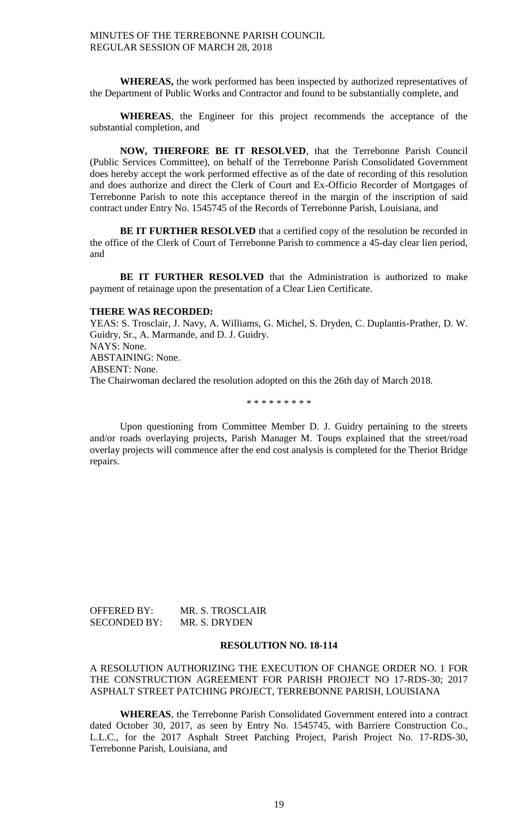**WHEREAS,** the work performed has been inspected by authorized representatives of the Department of Public Works and Contractor and found to be substantially complete, and

**WHEREAS**, the Engineer for this project recommends the acceptance of the substantial completion, and

**NOW, THERFORE BE IT RESOLVED**, that the Terrebonne Parish Council (Public Services Committee), on behalf of the Terrebonne Parish Consolidated Government does hereby accept the work performed effective as of the date of recording of this resolution and does authorize and direct the Clerk of Court and Ex-Officio Recorder of Mortgages of Terrebonne Parish to note this acceptance thereof in the margin of the inscription of said contract under Entry No. 1545745 of the Records of Terrebonne Parish, Louisiana, and

**BE IT FURTHER RESOLVED** that a certified copy of the resolution be recorded in the office of the Clerk of Court of Terrebonne Parish to commence a 45-day clear lien period, and

**BE IT FURTHER RESOLVED** that the Administration is authorized to make payment of retainage upon the presentation of a Clear Lien Certificate.

#### **THERE WAS RECORDED:**

YEAS: S. Trosclair, J. Navy, A. Williams, G. Michel, S. Dryden, C. Duplantis-Prather, D. W. Guidry, Sr., A. Marmande, and D. J. Guidry. NAYS: None. ABSTAINING: None. ABSENT: None. The Chairwoman declared the resolution adopted on this the 26th day of March 2018.

\* \* \* \* \* \* \* \* \*

Upon questioning from Committee Member D. J. Guidry pertaining to the streets and/or roads overlaying projects, Parish Manager M. Toups explained that the street/road overlay projects will commence after the end cost analysis is completed for the Theriot Bridge repairs.

| OFFERED BY:         | MR. S. TROSCLAIR |
|---------------------|------------------|
| <b>SECONDED BY:</b> | MR. S. DRYDEN    |

#### **RESOLUTION NO. 18-114**

# A RESOLUTION AUTHORIZING THE EXECUTION OF CHANGE ORDER NO. 1 FOR THE CONSTRUCTION AGREEMENT FOR PARISH PROJECT NO 17-RDS-30; 2017 ASPHALT STREET PATCHING PROJECT, TERREBONNE PARISH, LOUISIANA

**WHEREAS**, the Terrebonne Parish Consolidated Government entered into a contract dated October 30, 2017, as seen by Entry No. 1545745, with Barriere Construction Co., L.L.C., for the 2017 Asphalt Street Patching Project, Parish Project No. 17-RDS-30, Terrebonne Parish, Louisiana, and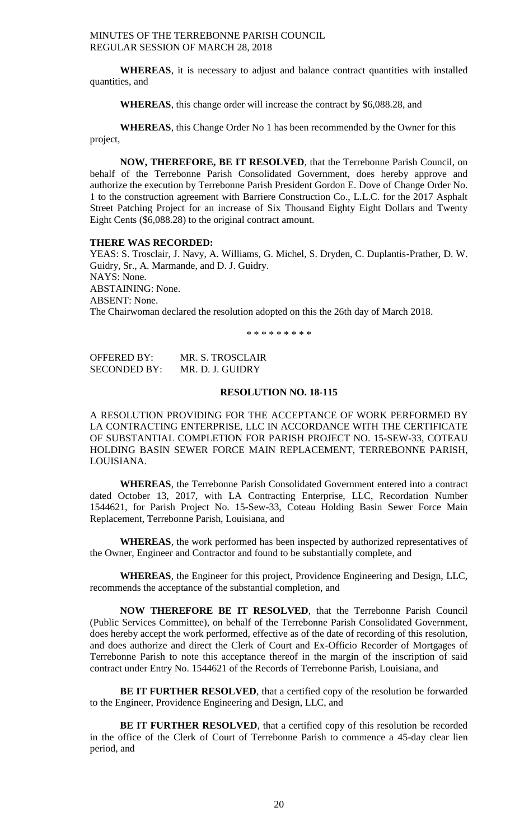**WHEREAS**, it is necessary to adjust and balance contract quantities with installed quantities, and

**WHEREAS**, this change order will increase the contract by \$6,088.28, and

**WHEREAS**, this Change Order No 1 has been recommended by the Owner for this project,

**NOW, THEREFORE, BE IT RESOLVED**, that the Terrebonne Parish Council, on behalf of the Terrebonne Parish Consolidated Government, does hereby approve and authorize the execution by Terrebonne Parish President Gordon E. Dove of Change Order No. 1 to the construction agreement with Barriere Construction Co., L.L.C. for the 2017 Asphalt Street Patching Project for an increase of Six Thousand Eighty Eight Dollars and Twenty Eight Cents (\$6,088.28) to the original contract amount.

#### **THERE WAS RECORDED:**

YEAS: S. Trosclair, J. Navy, A. Williams, G. Michel, S. Dryden, C. Duplantis-Prather, D. W. Guidry, Sr., A. Marmande, and D. J. Guidry. NAYS: None. ABSTAINING: None. ABSENT: None. The Chairwoman declared the resolution adopted on this the 26th day of March 2018.

\* \* \* \* \* \* \* \* \*

OFFERED BY: MR. S. TROSCLAIR SECONDED BY: MR. D. J. GUIDRY

# **RESOLUTION NO. 18-115**

A RESOLUTION PROVIDING FOR THE ACCEPTANCE OF WORK PERFORMED BY LA CONTRACTING ENTERPRISE, LLC IN ACCORDANCE WITH THE CERTIFICATE OF SUBSTANTIAL COMPLETION FOR PARISH PROJECT NO. 15-SEW-33, COTEAU HOLDING BASIN SEWER FORCE MAIN REPLACEMENT, TERREBONNE PARISH, LOUISIANA.

**WHEREAS**, the Terrebonne Parish Consolidated Government entered into a contract dated October 13, 2017, with LA Contracting Enterprise, LLC, Recordation Number 1544621, for Parish Project No. 15-Sew-33, Coteau Holding Basin Sewer Force Main Replacement, Terrebonne Parish, Louisiana, and

**WHEREAS**, the work performed has been inspected by authorized representatives of the Owner, Engineer and Contractor and found to be substantially complete, and

**WHEREAS**, the Engineer for this project, Providence Engineering and Design, LLC, recommends the acceptance of the substantial completion, and

**NOW THEREFORE BE IT RESOLVED**, that the Terrebonne Parish Council (Public Services Committee), on behalf of the Terrebonne Parish Consolidated Government, does hereby accept the work performed, effective as of the date of recording of this resolution, and does authorize and direct the Clerk of Court and Ex-Officio Recorder of Mortgages of Terrebonne Parish to note this acceptance thereof in the margin of the inscription of said contract under Entry No. 1544621 of the Records of Terrebonne Parish, Louisiana, and

**BE IT FURTHER RESOLVED**, that a certified copy of the resolution be forwarded to the Engineer, Providence Engineering and Design, LLC, and

**BE IT FURTHER RESOLVED**, that a certified copy of this resolution be recorded in the office of the Clerk of Court of Terrebonne Parish to commence a 45-day clear lien period, and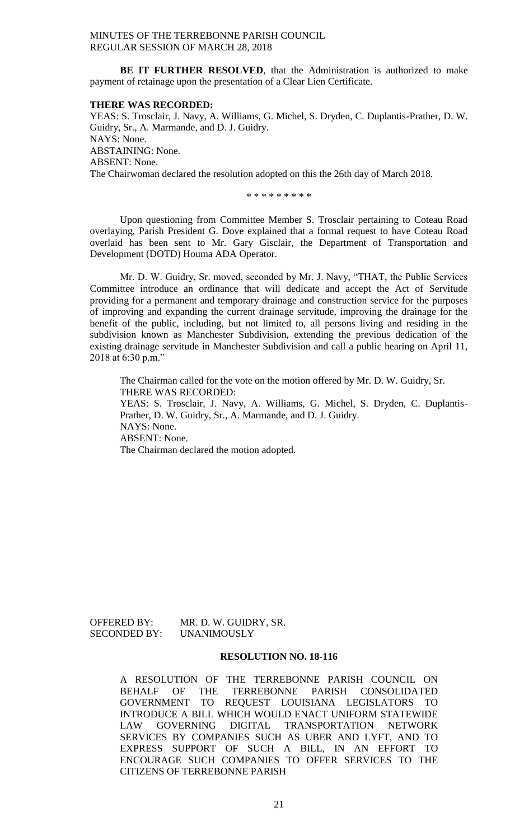**BE IT FURTHER RESOLVED**, that the Administration is authorized to make payment of retainage upon the presentation of a Clear Lien Certificate.

#### **THERE WAS RECORDED:**

YEAS: S. Trosclair, J. Navy, A. Williams, G. Michel, S. Dryden, C. Duplantis-Prather, D. W. Guidry, Sr., A. Marmande, and D. J. Guidry. NAYS: None. ABSTAINING: None. ABSENT: None. The Chairwoman declared the resolution adopted on this the 26th day of March 2018.

\* \* \* \* \* \* \* \* \*

Upon questioning from Committee Member S. Trosclair pertaining to Coteau Road overlaying, Parish President G. Dove explained that a formal request to have Coteau Road overlaid has been sent to Mr. Gary Gisclair, the Department of Transportation and Development (DOTD) Houma ADA Operator.

Mr. D. W. Guidry, Sr. moved, seconded by Mr. J. Navy, "THAT, the Public Services Committee introduce an ordinance that will dedicate and accept the Act of Servitude providing for a permanent and temporary drainage and construction service for the purposes of improving and expanding the current drainage servitude, improving the drainage for the benefit of the public, including, but not limited to, all persons living and residing in the subdivision known as Manchester Subdivision, extending the previous dedication of the existing drainage servitude in Manchester Subdivision and call a public hearing on April 11, 2018 at 6:30 p.m."

The Chairman called for the vote on the motion offered by Mr. D. W. Guidry, Sr. THERE WAS RECORDED: YEAS: S. Trosclair, J. Navy, A. Williams, G. Michel, S. Dryden, C. Duplantis-Prather, D. W. Guidry, Sr., A. Marmande, and D. J. Guidry. NAYS: None. ABSENT: None. The Chairman declared the motion adopted.

SECONDED BY: UNANIMOUSLY

OFFERED BY: MR. D. W. GUIDRY, SR.

## **RESOLUTION NO. 18-116**

A RESOLUTION OF THE TERREBONNE PARISH COUNCIL ON BEHALF OF THE TERREBONNE PARISH CONSOLIDATED GOVERNMENT TO REQUEST LOUISIANA LEGISLATORS TO INTRODUCE A BILL WHICH WOULD ENACT UNIFORM STATEWIDE LAW GOVERNING DIGITAL TRANSPORTATION NETWORK SERVICES BY COMPANIES SUCH AS UBER AND LYFT, AND TO EXPRESS SUPPORT OF SUCH A BILL, IN AN EFFORT TO ENCOURAGE SUCH COMPANIES TO OFFER SERVICES TO THE CITIZENS OF TERREBONNE PARISH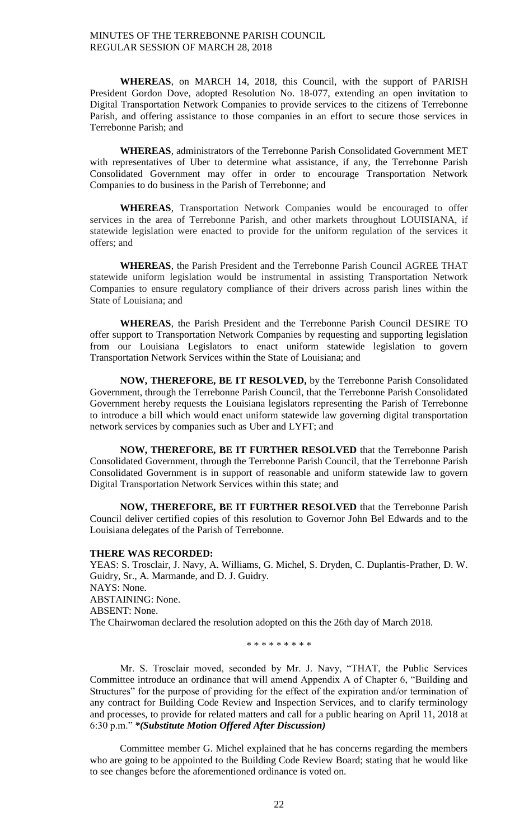**WHEREAS**, on MARCH 14, 2018, this Council, with the support of PARISH President Gordon Dove, adopted Resolution No. 18-077, extending an open invitation to Digital Transportation Network Companies to provide services to the citizens of Terrebonne Parish, and offering assistance to those companies in an effort to secure those services in Terrebonne Parish; and

**WHEREAS**, administrators of the Terrebonne Parish Consolidated Government MET with representatives of Uber to determine what assistance, if any, the Terrebonne Parish Consolidated Government may offer in order to encourage Transportation Network Companies to do business in the Parish of Terrebonne; and

**WHEREAS**, Transportation Network Companies would be encouraged to offer services in the area of Terrebonne Parish, and other markets throughout LOUISIANA, if statewide legislation were enacted to provide for the uniform regulation of the services it offers; and

**WHEREAS**, the Parish President and the Terrebonne Parish Council AGREE THAT statewide uniform legislation would be instrumental in assisting Transportation Network Companies to ensure regulatory compliance of their drivers across parish lines within the State of Louisiana; and

**WHEREAS**, the Parish President and the Terrebonne Parish Council DESIRE TO offer support to Transportation Network Companies by requesting and supporting legislation from our Louisiana Legislators to enact uniform statewide legislation to govern Transportation Network Services within the State of Louisiana; and

**NOW, THEREFORE, BE IT RESOLVED,** by the Terrebonne Parish Consolidated Government, through the Terrebonne Parish Council, that the Terrebonne Parish Consolidated Government hereby requests the Louisiana legislators representing the Parish of Terrebonne to introduce a bill which would enact uniform statewide law governing digital transportation network services by companies such as Uber and LYFT; and

**NOW, THEREFORE, BE IT FURTHER RESOLVED** that the Terrebonne Parish Consolidated Government, through the Terrebonne Parish Council, that the Terrebonne Parish Consolidated Government is in support of reasonable and uniform statewide law to govern Digital Transportation Network Services within this state; and

**NOW, THEREFORE, BE IT FURTHER RESOLVED** that the Terrebonne Parish Council deliver certified copies of this resolution to Governor John Bel Edwards and to the Louisiana delegates of the Parish of Terrebonne.

### **THERE WAS RECORDED:**

YEAS: S. Trosclair, J. Navy, A. Williams, G. Michel, S. Dryden, C. Duplantis-Prather, D. W. Guidry, Sr., A. Marmande, and D. J. Guidry. NAYS: None. ABSTAINING: None. ABSENT: None. The Chairwoman declared the resolution adopted on this the 26th day of March 2018.

\* \* \* \* \* \* \* \* \*

Mr. S. Trosclair moved, seconded by Mr. J. Navy, "THAT, the Public Services Committee introduce an ordinance that will amend Appendix A of Chapter 6, "Building and Structures" for the purpose of providing for the effect of the expiration and/or termination of any contract for Building Code Review and Inspection Services, and to clarify terminology and processes, to provide for related matters and call for a public hearing on April 11, 2018 at 6:30 p.m." *\*(Substitute Motion Offered After Discussion)*

Committee member G. Michel explained that he has concerns regarding the members who are going to be appointed to the Building Code Review Board; stating that he would like to see changes before the aforementioned ordinance is voted on.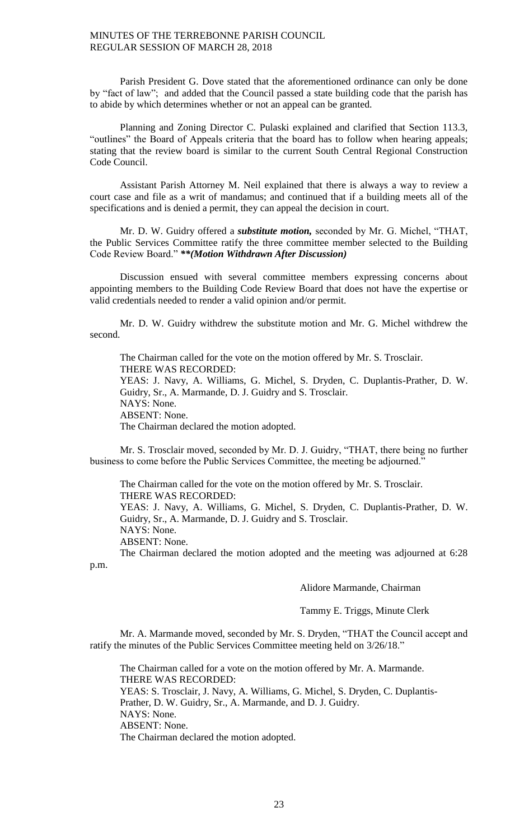Parish President G. Dove stated that the aforementioned ordinance can only be done by "fact of law"; and added that the Council passed a state building code that the parish has to abide by which determines whether or not an appeal can be granted.

Planning and Zoning Director C. Pulaski explained and clarified that Section 113.3, "outlines" the Board of Appeals criteria that the board has to follow when hearing appeals; stating that the review board is similar to the current South Central Regional Construction Code Council.

Assistant Parish Attorney M. Neil explained that there is always a way to review a court case and file as a writ of mandamus; and continued that if a building meets all of the specifications and is denied a permit, they can appeal the decision in court.

Mr. D. W. Guidry offered a *substitute motion,* seconded by Mr. G. Michel, "THAT, the Public Services Committee ratify the three committee member selected to the Building Code Review Board." *\*\*(Motion Withdrawn After Discussion)*

Discussion ensued with several committee members expressing concerns about appointing members to the Building Code Review Board that does not have the expertise or valid credentials needed to render a valid opinion and/or permit.

Mr. D. W. Guidry withdrew the substitute motion and Mr. G. Michel withdrew the second.

The Chairman called for the vote on the motion offered by Mr. S. Trosclair. THERE WAS RECORDED: YEAS: J. Navy, A. Williams, G. Michel, S. Dryden, C. Duplantis-Prather, D. W. Guidry, Sr., A. Marmande, D. J. Guidry and S. Trosclair. NAYS: None. ABSENT: None. The Chairman declared the motion adopted.

Mr. S. Trosclair moved, seconded by Mr. D. J. Guidry, "THAT, there being no further business to come before the Public Services Committee, the meeting be adjourned."

The Chairman called for the vote on the motion offered by Mr. S. Trosclair. THERE WAS RECORDED:

YEAS: J. Navy, A. Williams, G. Michel, S. Dryden, C. Duplantis-Prather, D. W. Guidry, Sr., A. Marmande, D. J. Guidry and S. Trosclair.

NAYS: None.

ABSENT: None.

The Chairman declared the motion adopted and the meeting was adjourned at 6:28 p.m.

Alidore Marmande, Chairman

Tammy E. Triggs, Minute Clerk

Mr. A. Marmande moved, seconded by Mr. S. Dryden, "THAT the Council accept and ratify the minutes of the Public Services Committee meeting held on 3/26/18."

The Chairman called for a vote on the motion offered by Mr. A. Marmande. THERE WAS RECORDED: YEAS: S. Trosclair, J. Navy, A. Williams, G. Michel, S. Dryden, C. Duplantis-Prather, D. W. Guidry, Sr., A. Marmande, and D. J. Guidry. NAYS: None. ABSENT: None. The Chairman declared the motion adopted.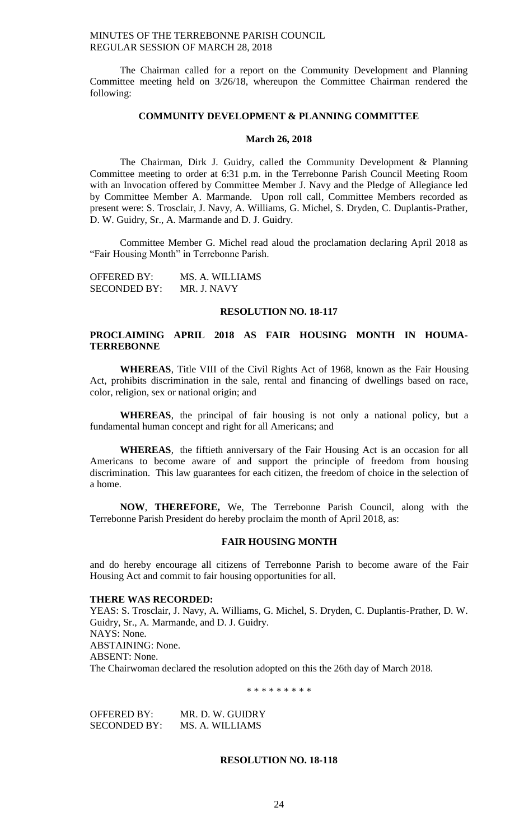The Chairman called for a report on the Community Development and Planning Committee meeting held on 3/26/18, whereupon the Committee Chairman rendered the following:

## **COMMUNITY DEVELOPMENT & PLANNING COMMITTEE**

### **March 26, 2018**

The Chairman, Dirk J. Guidry, called the Community Development & Planning Committee meeting to order at 6:31 p.m. in the Terrebonne Parish Council Meeting Room with an Invocation offered by Committee Member J. Navy and the Pledge of Allegiance led by Committee Member A. Marmande. Upon roll call, Committee Members recorded as present were: S. Trosclair, J. Navy, A. Williams, G. Michel, S. Dryden, C. Duplantis-Prather, D. W. Guidry, Sr., A. Marmande and D. J. Guidry.

Committee Member G. Michel read aloud the proclamation declaring April 2018 as "Fair Housing Month" in Terrebonne Parish.

| <b>OFFERED BY:</b>  | MS. A. WILLIAMS |
|---------------------|-----------------|
| <b>SECONDED BY:</b> | MR. J. NAVY     |

#### **RESOLUTION NO. 18-117**

# **PROCLAIMING APRIL 2018 AS FAIR HOUSING MONTH IN HOUMA-TERREBONNE**

**WHEREAS**, Title VIII of the Civil Rights Act of 1968, known as the Fair Housing Act, prohibits discrimination in the sale, rental and financing of dwellings based on race, color, religion, sex or national origin; and

**WHEREAS**, the principal of fair housing is not only a national policy, but a fundamental human concept and right for all Americans; and

**WHEREAS**, the fiftieth anniversary of the Fair Housing Act is an occasion for all Americans to become aware of and support the principle of freedom from housing discrimination. This law guarantees for each citizen, the freedom of choice in the selection of a home.

**NOW**, **THEREFORE,** We, The Terrebonne Parish Council, along with the Terrebonne Parish President do hereby proclaim the month of April 2018, as:

#### **FAIR HOUSING MONTH**

and do hereby encourage all citizens of Terrebonne Parish to become aware of the Fair Housing Act and commit to fair housing opportunities for all.

#### **THERE WAS RECORDED:**

YEAS: S. Trosclair, J. Navy, A. Williams, G. Michel, S. Dryden, C. Duplantis-Prather, D. W. Guidry, Sr., A. Marmande, and D. J. Guidry. NAYS: None. ABSTAINING: None. ABSENT: None. The Chairwoman declared the resolution adopted on this the 26th day of March 2018.

\* \* \* \* \* \* \* \* \*

OFFERED BY: MR. D. W. GUIDRY SECONDED BY: MS. A. WILLIAMS

#### **RESOLUTION NO. 18-118**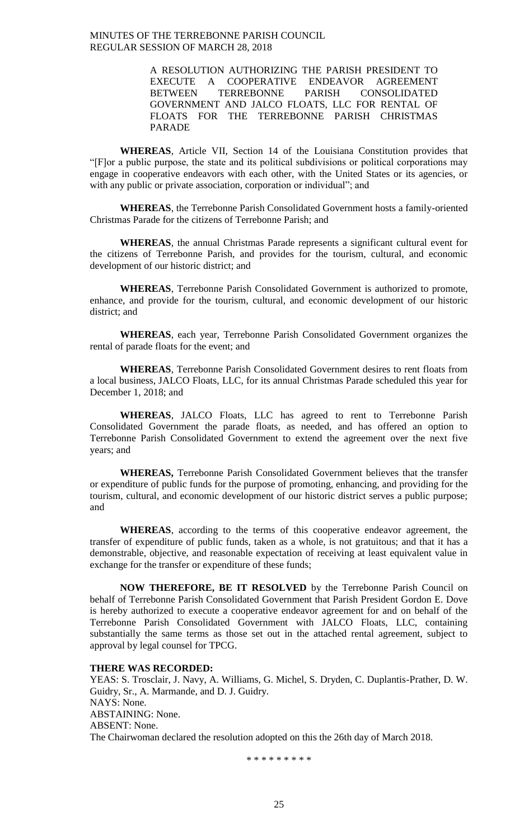> A RESOLUTION AUTHORIZING THE PARISH PRESIDENT TO EXECUTE A COOPERATIVE ENDEAVOR AGREEMENT BETWEEN TERREBONNE PARISH CONSOLIDATED GOVERNMENT AND JALCO FLOATS, LLC FOR RENTAL OF FLOATS FOR THE TERREBONNE PARISH CHRISTMAS PARADE

**WHEREAS**, Article VII, Section 14 of the Louisiana Constitution provides that "[F]or a public purpose, the state and its political subdivisions or political corporations may engage in cooperative endeavors with each other, with the United States or its agencies, or with any public or private association, corporation or individual"; and

**WHEREAS**, the Terrebonne Parish Consolidated Government hosts a family-oriented Christmas Parade for the citizens of Terrebonne Parish; and

**WHEREAS**, the annual Christmas Parade represents a significant cultural event for the citizens of Terrebonne Parish, and provides for the tourism, cultural, and economic development of our historic district; and

**WHEREAS**, Terrebonne Parish Consolidated Government is authorized to promote, enhance, and provide for the tourism, cultural, and economic development of our historic district; and

**WHEREAS**, each year, Terrebonne Parish Consolidated Government organizes the rental of parade floats for the event; and

**WHEREAS**, Terrebonne Parish Consolidated Government desires to rent floats from a local business, JALCO Floats, LLC, for its annual Christmas Parade scheduled this year for December 1, 2018; and

**WHEREAS**, JALCO Floats, LLC has agreed to rent to Terrebonne Parish Consolidated Government the parade floats, as needed, and has offered an option to Terrebonne Parish Consolidated Government to extend the agreement over the next five years; and

**WHEREAS,** Terrebonne Parish Consolidated Government believes that the transfer or expenditure of public funds for the purpose of promoting, enhancing, and providing for the tourism, cultural, and economic development of our historic district serves a public purpose; and

**WHEREAS**, according to the terms of this cooperative endeavor agreement, the transfer of expenditure of public funds, taken as a whole, is not gratuitous; and that it has a demonstrable, objective, and reasonable expectation of receiving at least equivalent value in exchange for the transfer or expenditure of these funds;

**NOW THEREFORE, BE IT RESOLVED** by the Terrebonne Parish Council on behalf of Terrebonne Parish Consolidated Government that Parish President Gordon E. Dove is hereby authorized to execute a cooperative endeavor agreement for and on behalf of the Terrebonne Parish Consolidated Government with JALCO Floats, LLC, containing substantially the same terms as those set out in the attached rental agreement, subject to approval by legal counsel for TPCG.

#### **THERE WAS RECORDED:**

YEAS: S. Trosclair, J. Navy, A. Williams, G. Michel, S. Dryden, C. Duplantis-Prather, D. W. Guidry, Sr., A. Marmande, and D. J. Guidry. NAYS: None. ABSTAINING: None. ABSENT: None. The Chairwoman declared the resolution adopted on this the 26th day of March 2018.

\* \* \* \* \* \* \* \* \*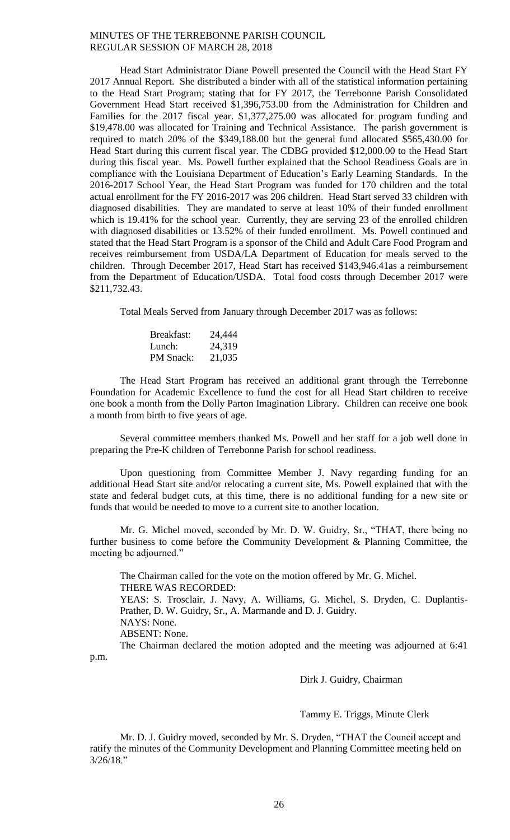Head Start Administrator Diane Powell presented the Council with the Head Start FY 2017 Annual Report. She distributed a binder with all of the statistical information pertaining to the Head Start Program; stating that for FY 2017, the Terrebonne Parish Consolidated Government Head Start received \$1,396,753.00 from the Administration for Children and Families for the 2017 fiscal year. \$1,377,275.00 was allocated for program funding and \$19,478.00 was allocated for Training and Technical Assistance. The parish government is required to match 20% of the \$349,188.00 but the general fund allocated \$565,430.00 for Head Start during this current fiscal year. The CDBG provided \$12,000.00 to the Head Start during this fiscal year. Ms. Powell further explained that the School Readiness Goals are in compliance with the Louisiana Department of Education's Early Learning Standards. In the 2016-2017 School Year, the Head Start Program was funded for 170 children and the total actual enrollment for the FY 2016-2017 was 206 children. Head Start served 33 children with diagnosed disabilities. They are mandated to serve at least 10% of their funded enrollment which is 19.41% for the school year. Currently, they are serving 23 of the enrolled children with diagnosed disabilities or 13.52% of their funded enrollment. Ms. Powell continued and stated that the Head Start Program is a sponsor of the Child and Adult Care Food Program and receives reimbursement from USDA/LA Department of Education for meals served to the children. Through December 2017, Head Start has received \$143,946.41as a reimbursement from the Department of Education/USDA. Total food costs through December 2017 were \$211,732.43.

Total Meals Served from January through December 2017 was as follows:

| Breakfast:       | 24,444 |
|------------------|--------|
| Lunch:           | 24,319 |
| <b>PM</b> Snack: | 21,035 |

The Head Start Program has received an additional grant through the Terrebonne Foundation for Academic Excellence to fund the cost for all Head Start children to receive one book a month from the Dolly Parton Imagination Library. Children can receive one book a month from birth to five years of age.

Several committee members thanked Ms. Powell and her staff for a job well done in preparing the Pre-K children of Terrebonne Parish for school readiness.

Upon questioning from Committee Member J. Navy regarding funding for an additional Head Start site and/or relocating a current site, Ms. Powell explained that with the state and federal budget cuts, at this time, there is no additional funding for a new site or funds that would be needed to move to a current site to another location.

Mr. G. Michel moved, seconded by Mr. D. W. Guidry, Sr., "THAT, there being no further business to come before the Community Development & Planning Committee, the meeting be adjourned."

The Chairman called for the vote on the motion offered by Mr. G. Michel. THERE WAS RECORDED: YEAS: S. Trosclair, J. Navy, A. Williams, G. Michel, S. Dryden, C. Duplantis-Prather, D. W. Guidry, Sr., A. Marmande and D. J. Guidry. NAYS: None. ABSENT: None. The Chairman declared the motion adopted and the meeting was adjourned at 6:41

p.m.

Dirk J. Guidry, Chairman

# Tammy E. Triggs, Minute Clerk

Mr. D. J. Guidry moved, seconded by Mr. S. Dryden, "THAT the Council accept and ratify the minutes of the Community Development and Planning Committee meeting held on 3/26/18."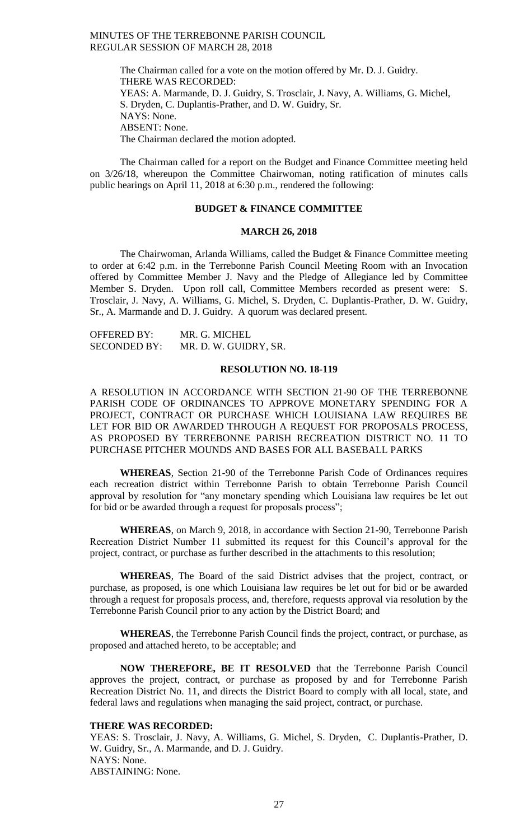The Chairman called for a vote on the motion offered by Mr. D. J. Guidry. THERE WAS RECORDED: YEAS: A. Marmande, D. J. Guidry, S. Trosclair, J. Navy, A. Williams, G. Michel, S. Dryden, C. Duplantis-Prather, and D. W. Guidry, Sr. NAYS: None. ABSENT: None. The Chairman declared the motion adopted.

The Chairman called for a report on the Budget and Finance Committee meeting held on 3/26/18, whereupon the Committee Chairwoman, noting ratification of minutes calls public hearings on April 11, 2018 at 6:30 p.m., rendered the following:

# **BUDGET & FINANCE COMMITTEE**

#### **MARCH 26, 2018**

The Chairwoman, Arlanda Williams, called the Budget & Finance Committee meeting to order at 6:42 p.m. in the Terrebonne Parish Council Meeting Room with an Invocation offered by Committee Member J. Navy and the Pledge of Allegiance led by Committee Member S. Dryden. Upon roll call, Committee Members recorded as present were: S. Trosclair, J. Navy, A. Williams, G. Michel, S. Dryden, C. Duplantis-Prather, D. W. Guidry, Sr., A. Marmande and D. J. Guidry. A quorum was declared present.

| <b>OFFERED BY:</b>  | MR. G. MICHEL         |
|---------------------|-----------------------|
| <b>SECONDED BY:</b> | MR. D. W. GUIDRY, SR. |

# **RESOLUTION NO. 18-119**

A RESOLUTION IN ACCORDANCE WITH SECTION 21-90 OF THE TERREBONNE PARISH CODE OF ORDINANCES TO APPROVE MONETARY SPENDING FOR A PROJECT, CONTRACT OR PURCHASE WHICH LOUISIANA LAW REQUIRES BE LET FOR BID OR AWARDED THROUGH A REQUEST FOR PROPOSALS PROCESS, AS PROPOSED BY TERREBONNE PARISH RECREATION DISTRICT NO. 11 TO PURCHASE PITCHER MOUNDS AND BASES FOR ALL BASEBALL PARKS

**WHEREAS**, Section 21-90 of the Terrebonne Parish Code of Ordinances requires each recreation district within Terrebonne Parish to obtain Terrebonne Parish Council approval by resolution for "any monetary spending which Louisiana law requires be let out for bid or be awarded through a request for proposals process";

**WHEREAS**, on March 9, 2018, in accordance with Section 21-90, Terrebonne Parish Recreation District Number 11 submitted its request for this Council's approval for the project, contract, or purchase as further described in the attachments to this resolution;

**WHEREAS**, The Board of the said District advises that the project, contract, or purchase, as proposed, is one which Louisiana law requires be let out for bid or be awarded through a request for proposals process, and, therefore, requests approval via resolution by the Terrebonne Parish Council prior to any action by the District Board; and

**WHEREAS**, the Terrebonne Parish Council finds the project, contract, or purchase, as proposed and attached hereto, to be acceptable; and

**NOW THEREFORE, BE IT RESOLVED** that the Terrebonne Parish Council approves the project, contract, or purchase as proposed by and for Terrebonne Parish Recreation District No. 11, and directs the District Board to comply with all local, state, and federal laws and regulations when managing the said project, contract, or purchase.

### **THERE WAS RECORDED:**

YEAS: S. Trosclair, J. Navy, A. Williams, G. Michel, S. Dryden, C. Duplantis-Prather, D. W. Guidry, Sr., A. Marmande, and D. J. Guidry. NAYS: None. ABSTAINING: None.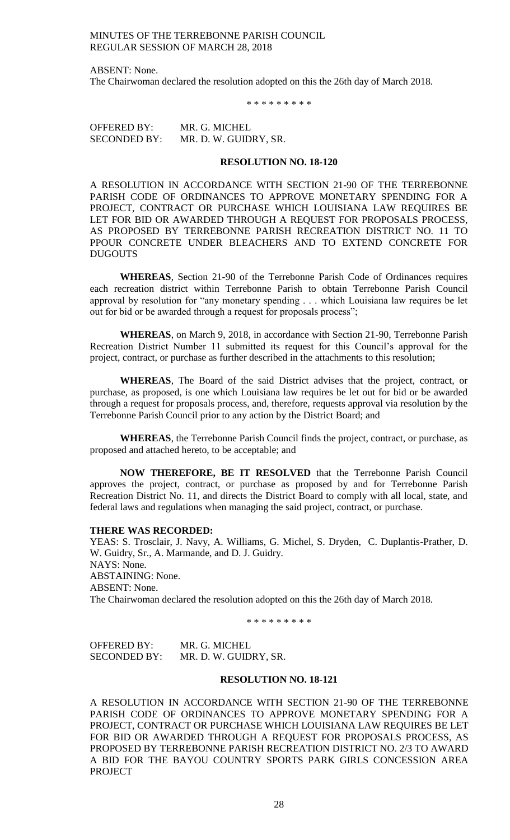ABSENT: None. The Chairwoman declared the resolution adopted on this the 26th day of March 2018.

\* \* \* \* \* \* \* \* \*

OFFERED BY: MR. G. MICHEL SECONDED BY: MR. D. W. GUIDRY, SR.

#### **RESOLUTION NO. 18-120**

A RESOLUTION IN ACCORDANCE WITH SECTION 21-90 OF THE TERREBONNE PARISH CODE OF ORDINANCES TO APPROVE MONETARY SPENDING FOR A PROJECT, CONTRACT OR PURCHASE WHICH LOUISIANA LAW REQUIRES BE LET FOR BID OR AWARDED THROUGH A REQUEST FOR PROPOSALS PROCESS, AS PROPOSED BY TERREBONNE PARISH RECREATION DISTRICT NO. 11 TO PPOUR CONCRETE UNDER BLEACHERS AND TO EXTEND CONCRETE FOR DUGOUTS

**WHEREAS**, Section 21-90 of the Terrebonne Parish Code of Ordinances requires each recreation district within Terrebonne Parish to obtain Terrebonne Parish Council approval by resolution for "any monetary spending . . . which Louisiana law requires be let out for bid or be awarded through a request for proposals process";

**WHEREAS**, on March 9, 2018, in accordance with Section 21-90, Terrebonne Parish Recreation District Number 11 submitted its request for this Council's approval for the project, contract, or purchase as further described in the attachments to this resolution;

**WHEREAS**, The Board of the said District advises that the project, contract, or purchase, as proposed, is one which Louisiana law requires be let out for bid or be awarded through a request for proposals process, and, therefore, requests approval via resolution by the Terrebonne Parish Council prior to any action by the District Board; and

**WHEREAS**, the Terrebonne Parish Council finds the project, contract, or purchase, as proposed and attached hereto, to be acceptable; and

**NOW THEREFORE, BE IT RESOLVED** that the Terrebonne Parish Council approves the project, contract, or purchase as proposed by and for Terrebonne Parish Recreation District No. 11, and directs the District Board to comply with all local, state, and federal laws and regulations when managing the said project, contract, or purchase.

#### **THERE WAS RECORDED:**

YEAS: S. Trosclair, J. Navy, A. Williams, G. Michel, S. Dryden, C. Duplantis-Prather, D. W. Guidry, Sr., A. Marmande, and D. J. Guidry. NAYS: None. ABSTAINING: None. ABSENT: None. The Chairwoman declared the resolution adopted on this the 26th day of March 2018.

\* \* \* \* \* \* \* \* \*

OFFERED BY: MR. G. MICHEL SECONDED BY: MR. D. W. GUIDRY, SR.

# **RESOLUTION NO. 18-121**

A RESOLUTION IN ACCORDANCE WITH SECTION 21-90 OF THE TERREBONNE PARISH CODE OF ORDINANCES TO APPROVE MONETARY SPENDING FOR A PROJECT, CONTRACT OR PURCHASE WHICH LOUISIANA LAW REQUIRES BE LET FOR BID OR AWARDED THROUGH A REQUEST FOR PROPOSALS PROCESS, AS PROPOSED BY TERREBONNE PARISH RECREATION DISTRICT NO. 2/3 TO AWARD A BID FOR THE BAYOU COUNTRY SPORTS PARK GIRLS CONCESSION AREA PROJECT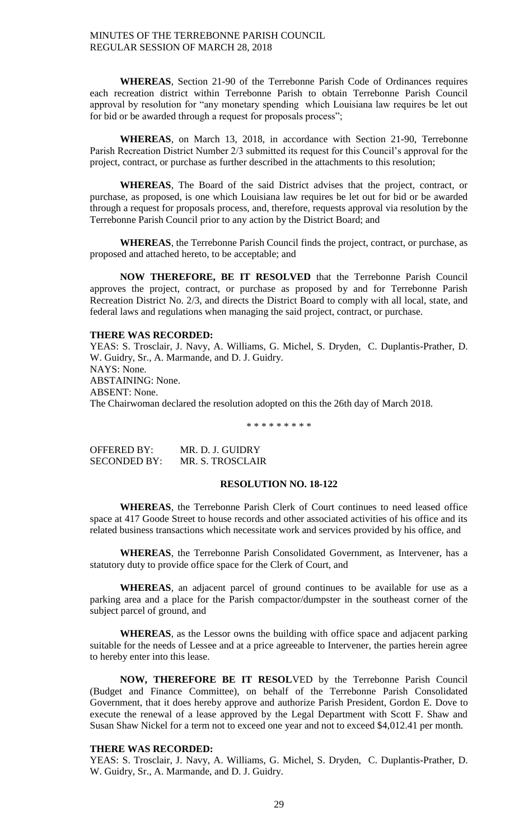**WHEREAS**, Section 21-90 of the Terrebonne Parish Code of Ordinances requires each recreation district within Terrebonne Parish to obtain Terrebonne Parish Council approval by resolution for "any monetary spending which Louisiana law requires be let out for bid or be awarded through a request for proposals process";

**WHEREAS**, on March 13, 2018, in accordance with Section 21-90, Terrebonne Parish Recreation District Number 2/3 submitted its request for this Council's approval for the project, contract, or purchase as further described in the attachments to this resolution;

**WHEREAS**, The Board of the said District advises that the project, contract, or purchase, as proposed, is one which Louisiana law requires be let out for bid or be awarded through a request for proposals process, and, therefore, requests approval via resolution by the Terrebonne Parish Council prior to any action by the District Board; and

**WHEREAS**, the Terrebonne Parish Council finds the project, contract, or purchase, as proposed and attached hereto, to be acceptable; and

**NOW THEREFORE, BE IT RESOLVED** that the Terrebonne Parish Council approves the project, contract, or purchase as proposed by and for Terrebonne Parish Recreation District No. 2/3, and directs the District Board to comply with all local, state, and federal laws and regulations when managing the said project, contract, or purchase.

### **THERE WAS RECORDED:**

YEAS: S. Trosclair, J. Navy, A. Williams, G. Michel, S. Dryden, C. Duplantis-Prather, D. W. Guidry, Sr., A. Marmande, and D. J. Guidry. NAYS: None. ABSTAINING: None. ABSENT: None. The Chairwoman declared the resolution adopted on this the 26th day of March 2018.

\* \* \* \* \* \* \* \* \*

| <b>OFFERED BY:</b> | MR. D. J. GUIDRY |
|--------------------|------------------|
| SECONDED BY:       | MR. S. TROSCLAIR |

### **RESOLUTION NO. 18-122**

**WHEREAS**, the Terrebonne Parish Clerk of Court continues to need leased office space at 417 Goode Street to house records and other associated activities of his office and its related business transactions which necessitate work and services provided by his office, and

**WHEREAS**, the Terrebonne Parish Consolidated Government, as Intervener, has a statutory duty to provide office space for the Clerk of Court, and

**WHEREAS**, an adjacent parcel of ground continues to be available for use as a parking area and a place for the Parish compactor/dumpster in the southeast corner of the subject parcel of ground, and

**WHEREAS**, as the Lessor owns the building with office space and adjacent parking suitable for the needs of Lessee and at a price agreeable to Intervener, the parties herein agree to hereby enter into this lease.

**NOW, THEREFORE BE IT RESOL**VED by the Terrebonne Parish Council (Budget and Finance Committee), on behalf of the Terrebonne Parish Consolidated Government, that it does hereby approve and authorize Parish President, Gordon E. Dove to execute the renewal of a lease approved by the Legal Department with Scott F. Shaw and Susan Shaw Nickel for a term not to exceed one year and not to exceed \$4,012.41 per month.

# **THERE WAS RECORDED:**

YEAS: S. Trosclair, J. Navy, A. Williams, G. Michel, S. Dryden, C. Duplantis-Prather, D. W. Guidry, Sr., A. Marmande, and D. J. Guidry.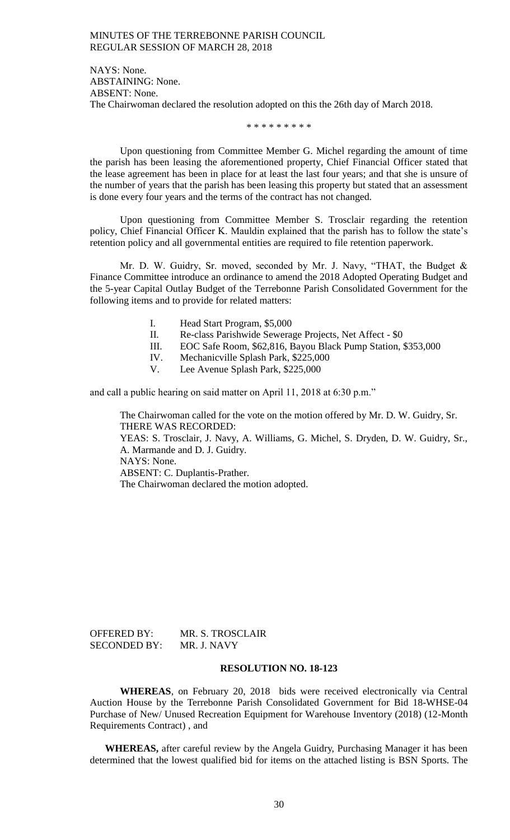NAYS: None. ABSTAINING: None. ABSENT: None. The Chairwoman declared the resolution adopted on this the 26th day of March 2018.

\* \* \* \* \* \* \* \* \*

Upon questioning from Committee Member G. Michel regarding the amount of time the parish has been leasing the aforementioned property, Chief Financial Officer stated that the lease agreement has been in place for at least the last four years; and that she is unsure of the number of years that the parish has been leasing this property but stated that an assessment is done every four years and the terms of the contract has not changed.

Upon questioning from Committee Member S. Trosclair regarding the retention policy, Chief Financial Officer K. Mauldin explained that the parish has to follow the state's retention policy and all governmental entities are required to file retention paperwork.

Mr. D. W. Guidry, Sr. moved, seconded by Mr. J. Navy, "THAT, the Budget & Finance Committee introduce an ordinance to amend the 2018 Adopted Operating Budget and the 5-year Capital Outlay Budget of the Terrebonne Parish Consolidated Government for the following items and to provide for related matters:

- I. Head Start Program, \$5,000
- II. Re-class Parishwide Sewerage Projects, Net Affect \$0
- III. EOC Safe Room, \$62,816, Bayou Black Pump Station, \$353,000
- IV. Mechanicville Splash Park, \$225,000
- V. Lee Avenue Splash Park, \$225,000

and call a public hearing on said matter on April 11, 2018 at 6:30 p.m."

The Chairwoman called for the vote on the motion offered by Mr. D. W. Guidry, Sr. THERE WAS RECORDED:

YEAS: S. Trosclair, J. Navy, A. Williams, G. Michel, S. Dryden, D. W. Guidry, Sr., A. Marmande and D. J. Guidry.

NAYS: None.

ABSENT: C. Duplantis-Prather.

The Chairwoman declared the motion adopted.

| <b>OFFERED BY:</b>  | MR. S. TROSCLAIR |
|---------------------|------------------|
| <b>SECONDED BY:</b> | MR. J. NAVY      |

#### **RESOLUTION NO. 18-123**

**WHEREAS**, on February 20, 2018 bids were received electronically via Central Auction House by the Terrebonne Parish Consolidated Government for Bid 18-WHSE-04 Purchase of New/ Unused Recreation Equipment for Warehouse Inventory (2018) (12-Month Requirements Contract) , and

**WHEREAS,** after careful review by the Angela Guidry, Purchasing Manager it has been determined that the lowest qualified bid for items on the attached listing is BSN Sports. The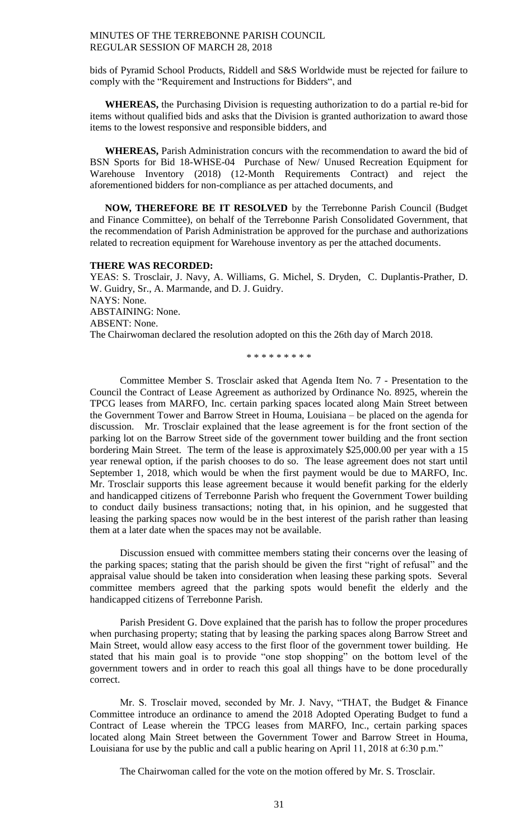bids of Pyramid School Products, Riddell and S&S Worldwide must be rejected for failure to comply with the "Requirement and Instructions for Bidders", and

**WHEREAS,** the Purchasing Division is requesting authorization to do a partial re-bid for items without qualified bids and asks that the Division is granted authorization to award those items to the lowest responsive and responsible bidders, and

**WHEREAS,** Parish Administration concurs with the recommendation to award the bid of BSN Sports for Bid 18-WHSE-04 Purchase of New/ Unused Recreation Equipment for Warehouse Inventory (2018) (12-Month Requirements Contract) and reject the aforementioned bidders for non-compliance as per attached documents, and

**NOW, THEREFORE BE IT RESOLVED** by the Terrebonne Parish Council (Budget and Finance Committee), on behalf of the Terrebonne Parish Consolidated Government, that the recommendation of Parish Administration be approved for the purchase and authorizations related to recreation equipment for Warehouse inventory as per the attached documents.

#### **THERE WAS RECORDED:**

YEAS: S. Trosclair, J. Navy, A. Williams, G. Michel, S. Dryden, C. Duplantis-Prather, D. W. Guidry, Sr., A. Marmande, and D. J. Guidry. NAYS: None. ABSTAINING: None. ABSENT: None. The Chairwoman declared the resolution adopted on this the 26th day of March 2018.

\* \* \* \* \* \* \* \* \*

Committee Member S. Trosclair asked that Agenda Item No. 7 - Presentation to the Council the Contract of Lease Agreement as authorized by Ordinance No. 8925, wherein the TPCG leases from MARFO, Inc. certain parking spaces located along Main Street between the Government Tower and Barrow Street in Houma, Louisiana – be placed on the agenda for discussion. Mr. Trosclair explained that the lease agreement is for the front section of the parking lot on the Barrow Street side of the government tower building and the front section bordering Main Street. The term of the lease is approximately \$25,000.00 per year with a 15 year renewal option, if the parish chooses to do so. The lease agreement does not start until September 1, 2018, which would be when the first payment would be due to MARFO, Inc. Mr. Trosclair supports this lease agreement because it would benefit parking for the elderly and handicapped citizens of Terrebonne Parish who frequent the Government Tower building to conduct daily business transactions; noting that, in his opinion, and he suggested that leasing the parking spaces now would be in the best interest of the parish rather than leasing them at a later date when the spaces may not be available.

Discussion ensued with committee members stating their concerns over the leasing of the parking spaces; stating that the parish should be given the first "right of refusal" and the appraisal value should be taken into consideration when leasing these parking spots. Several committee members agreed that the parking spots would benefit the elderly and the handicapped citizens of Terrebonne Parish.

Parish President G. Dove explained that the parish has to follow the proper procedures when purchasing property; stating that by leasing the parking spaces along Barrow Street and Main Street, would allow easy access to the first floor of the government tower building. He stated that his main goal is to provide "one stop shopping" on the bottom level of the government towers and in order to reach this goal all things have to be done procedurally correct.

Mr. S. Trosclair moved, seconded by Mr. J. Navy, "THAT, the Budget & Finance Committee introduce an ordinance to amend the 2018 Adopted Operating Budget to fund a Contract of Lease wherein the TPCG leases from MARFO, Inc., certain parking spaces located along Main Street between the Government Tower and Barrow Street in Houma, Louisiana for use by the public and call a public hearing on April 11, 2018 at 6:30 p.m."

The Chairwoman called for the vote on the motion offered by Mr. S. Trosclair.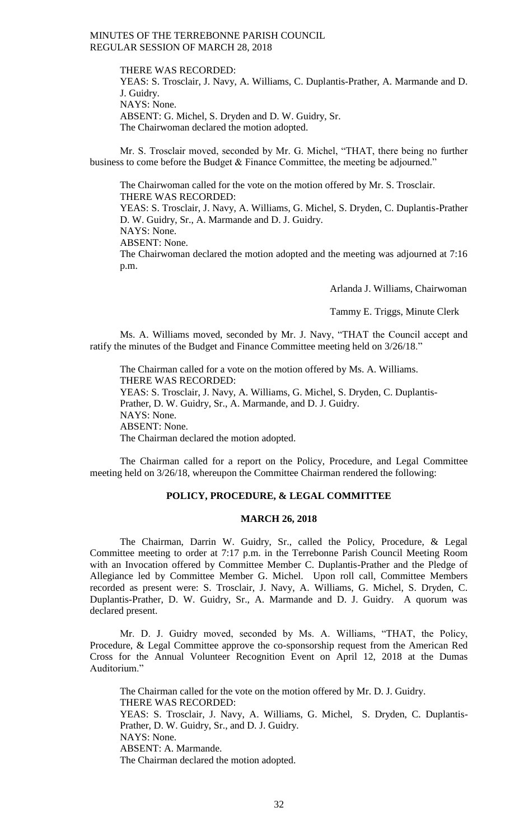THERE WAS RECORDED:

p.m.

YEAS: S. Trosclair, J. Navy, A. Williams, C. Duplantis-Prather, A. Marmande and D. J. Guidry. NAYS: None. ABSENT: G. Michel, S. Dryden and D. W. Guidry, Sr. The Chairwoman declared the motion adopted.

Mr. S. Trosclair moved, seconded by Mr. G. Michel, "THAT, there being no further business to come before the Budget & Finance Committee, the meeting be adjourned."

The Chairwoman called for the vote on the motion offered by Mr. S. Trosclair. THERE WAS RECORDED: YEAS: S. Trosclair, J. Navy, A. Williams, G. Michel, S. Dryden, C. Duplantis-Prather D. W. Guidry, Sr., A. Marmande and D. J. Guidry. NAYS: None. ABSENT: None. The Chairwoman declared the motion adopted and the meeting was adjourned at 7:16

Arlanda J. Williams, Chairwoman

Tammy E. Triggs, Minute Clerk

Ms. A. Williams moved, seconded by Mr. J. Navy, "THAT the Council accept and ratify the minutes of the Budget and Finance Committee meeting held on 3/26/18."

The Chairman called for a vote on the motion offered by Ms. A. Williams. THERE WAS RECORDED: YEAS: S. Trosclair, J. Navy, A. Williams, G. Michel, S. Dryden, C. Duplantis-Prather, D. W. Guidry, Sr., A. Marmande, and D. J. Guidry. NAYS: None. ABSENT: None. The Chairman declared the motion adopted.

The Chairman called for a report on the Policy, Procedure, and Legal Committee meeting held on 3/26/18, whereupon the Committee Chairman rendered the following:

# **POLICY, PROCEDURE, & LEGAL COMMITTEE**

# **MARCH 26, 2018**

The Chairman, Darrin W. Guidry, Sr., called the Policy, Procedure, & Legal Committee meeting to order at 7:17 p.m. in the Terrebonne Parish Council Meeting Room with an Invocation offered by Committee Member C. Duplantis-Prather and the Pledge of Allegiance led by Committee Member G. Michel. Upon roll call, Committee Members recorded as present were: S. Trosclair, J. Navy, A. Williams, G. Michel, S. Dryden, C. Duplantis-Prather, D. W. Guidry, Sr., A. Marmande and D. J. Guidry. A quorum was declared present.

Mr. D. J. Guidry moved, seconded by Ms. A. Williams, "THAT, the Policy, Procedure, & Legal Committee approve the co-sponsorship request from the American Red Cross for the Annual Volunteer Recognition Event on April 12, 2018 at the Dumas Auditorium."

The Chairman called for the vote on the motion offered by Mr. D. J. Guidry. THERE WAS RECORDED: YEAS: S. Trosclair, J. Navy, A. Williams, G. Michel, S. Dryden, C. Duplantis-Prather, D. W. Guidry, Sr., and D. J. Guidry. NAYS: None. ABSENT: A. Marmande. The Chairman declared the motion adopted.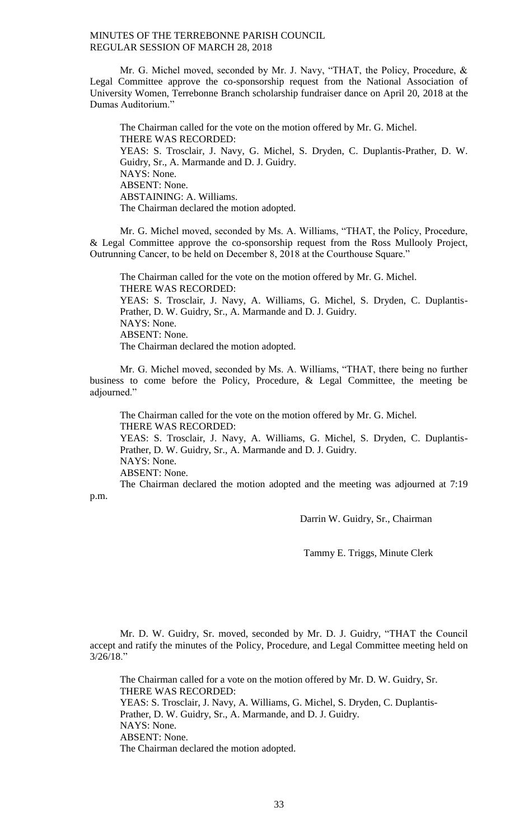Mr. G. Michel moved, seconded by Mr. J. Navy, "THAT, the Policy, Procedure, & Legal Committee approve the co-sponsorship request from the National Association of University Women, Terrebonne Branch scholarship fundraiser dance on April 20, 2018 at the Dumas Auditorium."

The Chairman called for the vote on the motion offered by Mr. G. Michel. THERE WAS RECORDED: YEAS: S. Trosclair, J. Navy, G. Michel, S. Dryden, C. Duplantis-Prather, D. W. Guidry, Sr., A. Marmande and D. J. Guidry. NAYS: None. ABSENT: None. ABSTAINING: A. Williams. The Chairman declared the motion adopted.

Mr. G. Michel moved, seconded by Ms. A. Williams, "THAT, the Policy, Procedure, & Legal Committee approve the co-sponsorship request from the Ross Mullooly Project, Outrunning Cancer, to be held on December 8, 2018 at the Courthouse Square."

The Chairman called for the vote on the motion offered by Mr. G. Michel. THERE WAS RECORDED: YEAS: S. Trosclair, J. Navy, A. Williams, G. Michel, S. Dryden, C. Duplantis-Prather, D. W. Guidry, Sr., A. Marmande and D. J. Guidry. NAYS: None. ABSENT: None. The Chairman declared the motion adopted.

Mr. G. Michel moved, seconded by Ms. A. Williams, "THAT, there being no further business to come before the Policy, Procedure, & Legal Committee, the meeting be adjourned."

The Chairman called for the vote on the motion offered by Mr. G. Michel. THERE WAS RECORDED: YEAS: S. Trosclair, J. Navy, A. Williams, G. Michel, S. Dryden, C. Duplantis-Prather, D. W. Guidry, Sr., A. Marmande and D. J. Guidry. NAYS: None. ABSENT: None.

The Chairman declared the motion adopted and the meeting was adjourned at 7:19 p.m.

Darrin W. Guidry, Sr., Chairman

Tammy E. Triggs, Minute Clerk

Mr. D. W. Guidry, Sr. moved, seconded by Mr. D. J. Guidry, "THAT the Council accept and ratify the minutes of the Policy, Procedure, and Legal Committee meeting held on 3/26/18."

The Chairman called for a vote on the motion offered by Mr. D. W. Guidry, Sr. THERE WAS RECORDED: YEAS: S. Trosclair, J. Navy, A. Williams, G. Michel, S. Dryden, C. Duplantis-Prather, D. W. Guidry, Sr., A. Marmande, and D. J. Guidry. NAYS: None. ABSENT: None. The Chairman declared the motion adopted.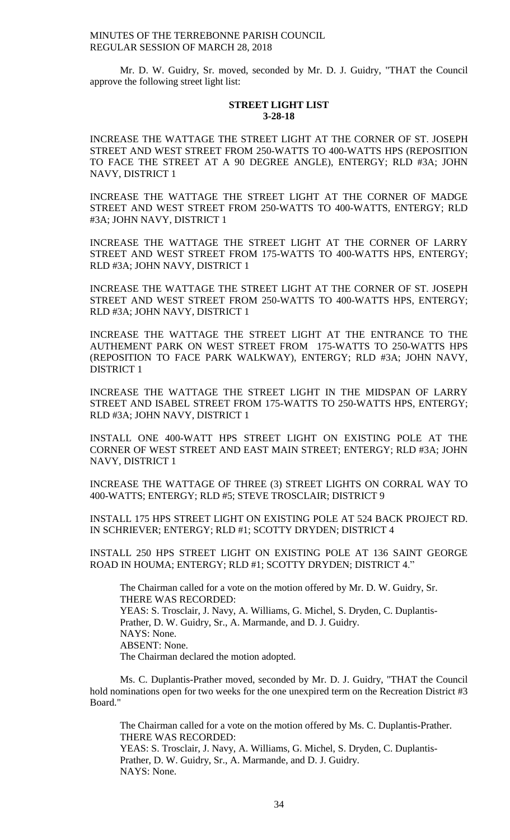Mr. D. W. Guidry, Sr. moved, seconded by Mr. D. J. Guidry, "THAT the Council approve the following street light list:

# **STREET LIGHT LIST 3-28-18**

INCREASE THE WATTAGE THE STREET LIGHT AT THE CORNER OF ST. JOSEPH STREET AND WEST STREET FROM 250-WATTS TO 400-WATTS HPS (REPOSITION TO FACE THE STREET AT A 90 DEGREE ANGLE), ENTERGY; RLD #3A; JOHN NAVY, DISTRICT 1

INCREASE THE WATTAGE THE STREET LIGHT AT THE CORNER OF MADGE STREET AND WEST STREET FROM 250-WATTS TO 400-WATTS, ENTERGY; RLD #3A; JOHN NAVY, DISTRICT 1

INCREASE THE WATTAGE THE STREET LIGHT AT THE CORNER OF LARRY STREET AND WEST STREET FROM 175-WATTS TO 400-WATTS HPS, ENTERGY; RLD #3A; JOHN NAVY, DISTRICT 1

INCREASE THE WATTAGE THE STREET LIGHT AT THE CORNER OF ST. JOSEPH STREET AND WEST STREET FROM 250-WATTS TO 400-WATTS HPS, ENTERGY; RLD #3A; JOHN NAVY, DISTRICT 1

INCREASE THE WATTAGE THE STREET LIGHT AT THE ENTRANCE TO THE AUTHEMENT PARK ON WEST STREET FROM 175-WATTS TO 250-WATTS HPS (REPOSITION TO FACE PARK WALKWAY), ENTERGY; RLD #3A; JOHN NAVY, DISTRICT 1

INCREASE THE WATTAGE THE STREET LIGHT IN THE MIDSPAN OF LARRY STREET AND ISABEL STREET FROM 175-WATTS TO 250-WATTS HPS, ENTERGY; RLD #3A; JOHN NAVY, DISTRICT 1

INSTALL ONE 400-WATT HPS STREET LIGHT ON EXISTING POLE AT THE CORNER OF WEST STREET AND EAST MAIN STREET; ENTERGY; RLD #3A; JOHN NAVY, DISTRICT 1

INCREASE THE WATTAGE OF THREE (3) STREET LIGHTS ON CORRAL WAY TO 400-WATTS; ENTERGY; RLD #5; STEVE TROSCLAIR; DISTRICT 9

INSTALL 175 HPS STREET LIGHT ON EXISTING POLE AT 524 BACK PROJECT RD. IN SCHRIEVER; ENTERGY; RLD #1; SCOTTY DRYDEN; DISTRICT 4

INSTALL 250 HPS STREET LIGHT ON EXISTING POLE AT 136 SAINT GEORGE ROAD IN HOUMA; ENTERGY; RLD #1; SCOTTY DRYDEN; DISTRICT 4."

The Chairman called for a vote on the motion offered by Mr. D. W. Guidry, Sr. THERE WAS RECORDED: YEAS: S. Trosclair, J. Navy, A. Williams, G. Michel, S. Dryden, C. Duplantis-Prather, D. W. Guidry, Sr., A. Marmande, and D. J. Guidry. NAYS: None. ABSENT: None. The Chairman declared the motion adopted.

Ms. C. Duplantis-Prather moved, seconded by Mr. D. J. Guidry, "THAT the Council hold nominations open for two weeks for the one unexpired term on the Recreation District #3 Board."

The Chairman called for a vote on the motion offered by Ms. C. Duplantis-Prather. THERE WAS RECORDED: YEAS: S. Trosclair, J. Navy, A. Williams, G. Michel, S. Dryden, C. Duplantis-Prather, D. W. Guidry, Sr., A. Marmande, and D. J. Guidry. NAYS: None.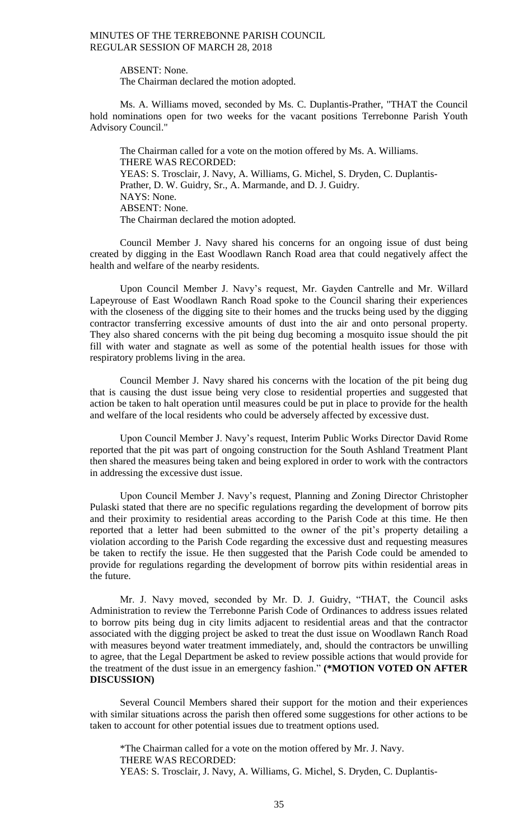ABSENT: None. The Chairman declared the motion adopted.

Ms. A. Williams moved, seconded by Ms. C. Duplantis-Prather, "THAT the Council hold nominations open for two weeks for the vacant positions Terrebonne Parish Youth Advisory Council."

The Chairman called for a vote on the motion offered by Ms. A. Williams. THERE WAS RECORDED: YEAS: S. Trosclair, J. Navy, A. Williams, G. Michel, S. Dryden, C. Duplantis-Prather, D. W. Guidry, Sr., A. Marmande, and D. J. Guidry. NAYS: None. ABSENT: None. The Chairman declared the motion adopted.

Council Member J. Navy shared his concerns for an ongoing issue of dust being created by digging in the East Woodlawn Ranch Road area that could negatively affect the health and welfare of the nearby residents.

Upon Council Member J. Navy's request, Mr. Gayden Cantrelle and Mr. Willard Lapeyrouse of East Woodlawn Ranch Road spoke to the Council sharing their experiences with the closeness of the digging site to their homes and the trucks being used by the digging contractor transferring excessive amounts of dust into the air and onto personal property. They also shared concerns with the pit being dug becoming a mosquito issue should the pit fill with water and stagnate as well as some of the potential health issues for those with respiratory problems living in the area.

Council Member J. Navy shared his concerns with the location of the pit being dug that is causing the dust issue being very close to residential properties and suggested that action be taken to halt operation until measures could be put in place to provide for the health and welfare of the local residents who could be adversely affected by excessive dust.

Upon Council Member J. Navy's request, Interim Public Works Director David Rome reported that the pit was part of ongoing construction for the South Ashland Treatment Plant then shared the measures being taken and being explored in order to work with the contractors in addressing the excessive dust issue.

Upon Council Member J. Navy's request, Planning and Zoning Director Christopher Pulaski stated that there are no specific regulations regarding the development of borrow pits and their proximity to residential areas according to the Parish Code at this time. He then reported that a letter had been submitted to the owner of the pit's property detailing a violation according to the Parish Code regarding the excessive dust and requesting measures be taken to rectify the issue. He then suggested that the Parish Code could be amended to provide for regulations regarding the development of borrow pits within residential areas in the future.

Mr. J. Navy moved, seconded by Mr. D. J. Guidry, "THAT, the Council asks Administration to review the Terrebonne Parish Code of Ordinances to address issues related to borrow pits being dug in city limits adjacent to residential areas and that the contractor associated with the digging project be asked to treat the dust issue on Woodlawn Ranch Road with measures beyond water treatment immediately, and, should the contractors be unwilling to agree, that the Legal Department be asked to review possible actions that would provide for the treatment of the dust issue in an emergency fashion." **(\*MOTION VOTED ON AFTER DISCUSSION)**

Several Council Members shared their support for the motion and their experiences with similar situations across the parish then offered some suggestions for other actions to be taken to account for other potential issues due to treatment options used.

\*The Chairman called for a vote on the motion offered by Mr. J. Navy. THERE WAS RECORDED: YEAS: S. Trosclair, J. Navy, A. Williams, G. Michel, S. Dryden, C. Duplantis-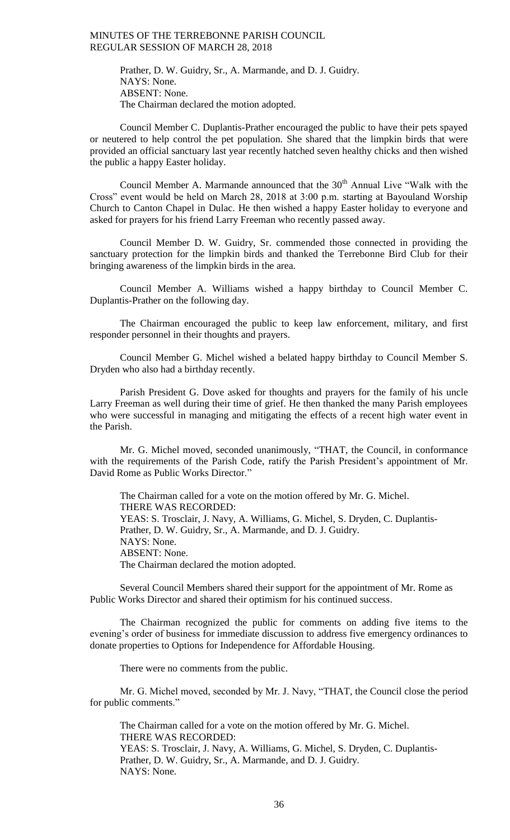Prather, D. W. Guidry, Sr., A. Marmande, and D. J. Guidry. NAYS: None. ABSENT: None. The Chairman declared the motion adopted.

Council Member C. Duplantis-Prather encouraged the public to have their pets spayed or neutered to help control the pet population. She shared that the limpkin birds that were provided an official sanctuary last year recently hatched seven healthy chicks and then wished the public a happy Easter holiday.

Council Member A. Marmande announced that the 30<sup>th</sup> Annual Live "Walk with the Cross" event would be held on March 28, 2018 at 3:00 p.m. starting at Bayouland Worship Church to Canton Chapel in Dulac. He then wished a happy Easter holiday to everyone and asked for prayers for his friend Larry Freeman who recently passed away.

Council Member D. W. Guidry, Sr. commended those connected in providing the sanctuary protection for the limpkin birds and thanked the Terrebonne Bird Club for their bringing awareness of the limpkin birds in the area.

Council Member A. Williams wished a happy birthday to Council Member C. Duplantis-Prather on the following day.

The Chairman encouraged the public to keep law enforcement, military, and first responder personnel in their thoughts and prayers.

Council Member G. Michel wished a belated happy birthday to Council Member S. Dryden who also had a birthday recently.

Parish President G. Dove asked for thoughts and prayers for the family of his uncle Larry Freeman as well during their time of grief. He then thanked the many Parish employees who were successful in managing and mitigating the effects of a recent high water event in the Parish.

Mr. G. Michel moved, seconded unanimously, "THAT, the Council, in conformance with the requirements of the Parish Code, ratify the Parish President's appointment of Mr. David Rome as Public Works Director."

The Chairman called for a vote on the motion offered by Mr. G. Michel. THERE WAS RECORDED: YEAS: S. Trosclair, J. Navy, A. Williams, G. Michel, S. Dryden, C. Duplantis-Prather, D. W. Guidry, Sr., A. Marmande, and D. J. Guidry. NAYS: None. ABSENT: None. The Chairman declared the motion adopted.

Several Council Members shared their support for the appointment of Mr. Rome as Public Works Director and shared their optimism for his continued success.

The Chairman recognized the public for comments on adding five items to the evening's order of business for immediate discussion to address five emergency ordinances to donate properties to Options for Independence for Affordable Housing.

There were no comments from the public.

Mr. G. Michel moved, seconded by Mr. J. Navy, "THAT, the Council close the period for public comments."

The Chairman called for a vote on the motion offered by Mr. G. Michel. THERE WAS RECORDED: YEAS: S. Trosclair, J. Navy, A. Williams, G. Michel, S. Dryden, C. Duplantis-Prather, D. W. Guidry, Sr., A. Marmande, and D. J. Guidry. NAYS: None.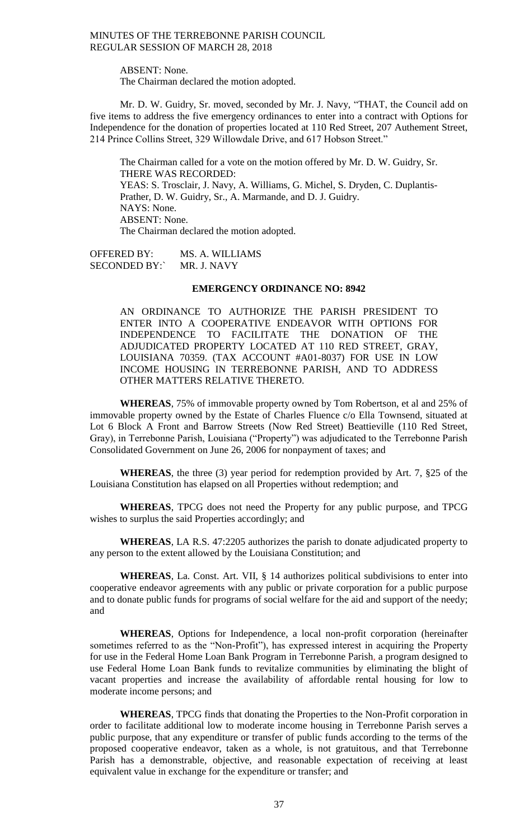ABSENT: None.

The Chairman declared the motion adopted.

Mr. D. W. Guidry, Sr. moved, seconded by Mr. J. Navy, "THAT, the Council add on five items to address the five emergency ordinances to enter into a contract with Options for Independence for the donation of properties located at 110 Red Street, 207 Authement Street, 214 Prince Collins Street, 329 Willowdale Drive, and 617 Hobson Street."

The Chairman called for a vote on the motion offered by Mr. D. W. Guidry, Sr. THERE WAS RECORDED: YEAS: S. Trosclair, J. Navy, A. Williams, G. Michel, S. Dryden, C. Duplantis-Prather, D. W. Guidry, Sr., A. Marmande, and D. J. Guidry. NAYS: None. ABSENT: None. The Chairman declared the motion adopted.

OFFERED BY: MS. A. WILLIAMS SECONDED BY:` MR. J. NAVY

# **EMERGENCY ORDINANCE NO: 8942**

AN ORDINANCE TO AUTHORIZE THE PARISH PRESIDENT TO ENTER INTO A COOPERATIVE ENDEAVOR WITH OPTIONS FOR INDEPENDENCE TO FACILITATE THE DONATION OF THE ADJUDICATED PROPERTY LOCATED AT 110 RED STREET, GRAY, LOUISIANA 70359. (TAX ACCOUNT #A01-8037) FOR USE IN LOW INCOME HOUSING IN TERREBONNE PARISH, AND TO ADDRESS OTHER MATTERS RELATIVE THERETO.

**WHEREAS**, 75% of immovable property owned by Tom Robertson, et al and 25% of immovable property owned by the Estate of Charles Fluence c/o Ella Townsend, situated at Lot 6 Block A Front and Barrow Streets (Now Red Street) Beattieville (110 Red Street, Gray), in Terrebonne Parish, Louisiana ("Property") was adjudicated to the Terrebonne Parish Consolidated Government on June 26, 2006 for nonpayment of taxes; and

**WHEREAS**, the three (3) year period for redemption provided by Art. 7, §25 of the Louisiana Constitution has elapsed on all Properties without redemption; and

**WHEREAS**, TPCG does not need the Property for any public purpose, and TPCG wishes to surplus the said Properties accordingly; and

**WHEREAS**, LA R.S. 47:2205 authorizes the parish to donate adjudicated property to any person to the extent allowed by the Louisiana Constitution; and

**WHEREAS**, La. Const. Art. VII, § 14 authorizes political subdivisions to enter into cooperative endeavor agreements with any public or private corporation for a public purpose and to donate public funds for programs of social welfare for the aid and support of the needy; and

**WHEREAS**, Options for Independence, a local non-profit corporation (hereinafter sometimes referred to as the "Non-Profit"), has expressed interest in acquiring the Property for use in the Federal Home Loan Bank Program in Terrebonne Parish, a program designed to use Federal Home Loan Bank funds to revitalize communities by eliminating the blight of vacant properties and increase the availability of affordable rental housing for low to moderate income persons; and

**WHEREAS**, TPCG finds that donating the Properties to the Non-Profit corporation in order to facilitate additional low to moderate income housing in Terrebonne Parish serves a public purpose, that any expenditure or transfer of public funds according to the terms of the proposed cooperative endeavor, taken as a whole, is not gratuitous, and that Terrebonne Parish has a demonstrable, objective, and reasonable expectation of receiving at least equivalent value in exchange for the expenditure or transfer; and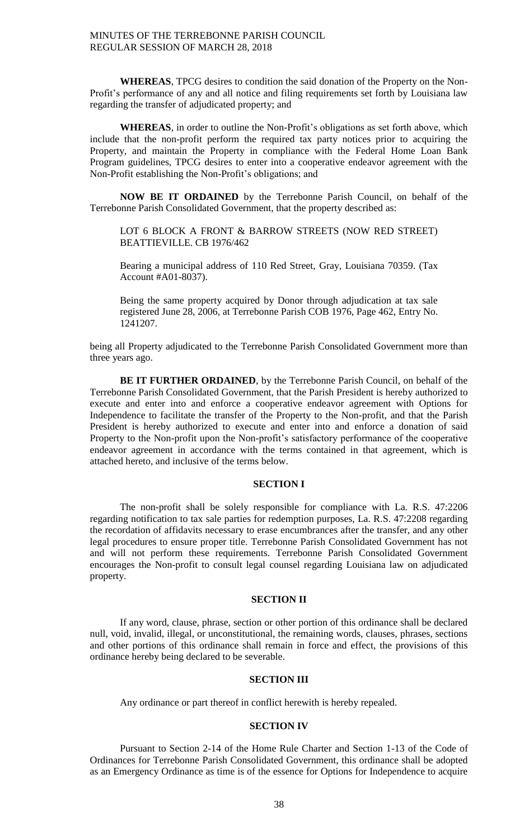**WHEREAS**, TPCG desires to condition the said donation of the Property on the Non-Profit's performance of any and all notice and filing requirements set forth by Louisiana law regarding the transfer of adjudicated property; and

**WHEREAS**, in order to outline the Non-Profit's obligations as set forth above, which include that the non-profit perform the required tax party notices prior to acquiring the Property, and maintain the Property in compliance with the Federal Home Loan Bank Program guidelines, TPCG desires to enter into a cooperative endeavor agreement with the Non-Profit establishing the Non-Profit's obligations; and

**NOW BE IT ORDAINED** by the Terrebonne Parish Council, on behalf of the Terrebonne Parish Consolidated Government, that the property described as:

LOT 6 BLOCK A FRONT & BARROW STREETS (NOW RED STREET) BEATTIEVILLE. CB 1976/462

Bearing a municipal address of 110 Red Street, Gray, Louisiana 70359. (Tax Account #A01-8037).

Being the same property acquired by Donor through adjudication at tax sale registered June 28, 2006, at Terrebonne Parish COB 1976, Page 462, Entry No. 1241207.

being all Property adjudicated to the Terrebonne Parish Consolidated Government more than three years ago.

**BE IT FURTHER ORDAINED**, by the Terrebonne Parish Council, on behalf of the Terrebonne Parish Consolidated Government, that the Parish President is hereby authorized to execute and enter into and enforce a cooperative endeavor agreement with Options for Independence to facilitate the transfer of the Property to the Non-profit, and that the Parish President is hereby authorized to execute and enter into and enforce a donation of said Property to the Non-profit upon the Non-profit's satisfactory performance of the cooperative endeavor agreement in accordance with the terms contained in that agreement, which is attached hereto, and inclusive of the terms below.

# **SECTION I**

The non-profit shall be solely responsible for compliance with La. R.S. 47:2206 regarding notification to tax sale parties for redemption purposes, La. R.S. 47:2208 regarding the recordation of affidavits necessary to erase encumbrances after the transfer, and any other legal procedures to ensure proper title. Terrebonne Parish Consolidated Government has not and will not perform these requirements. Terrebonne Parish Consolidated Government encourages the Non-profit to consult legal counsel regarding Louisiana law on adjudicated property.

### **SECTION II**

If any word, clause, phrase, section or other portion of this ordinance shall be declared null, void, invalid, illegal, or unconstitutional, the remaining words, clauses, phrases, sections and other portions of this ordinance shall remain in force and effect, the provisions of this ordinance hereby being declared to be severable.

# **SECTION III**

Any ordinance or part thereof in conflict herewith is hereby repealed.

# **SECTION IV**

Pursuant to Section 2-14 of the Home Rule Charter and Section 1-13 of the Code of Ordinances for Terrebonne Parish Consolidated Government, this ordinance shall be adopted as an Emergency Ordinance as time is of the essence for Options for Independence to acquire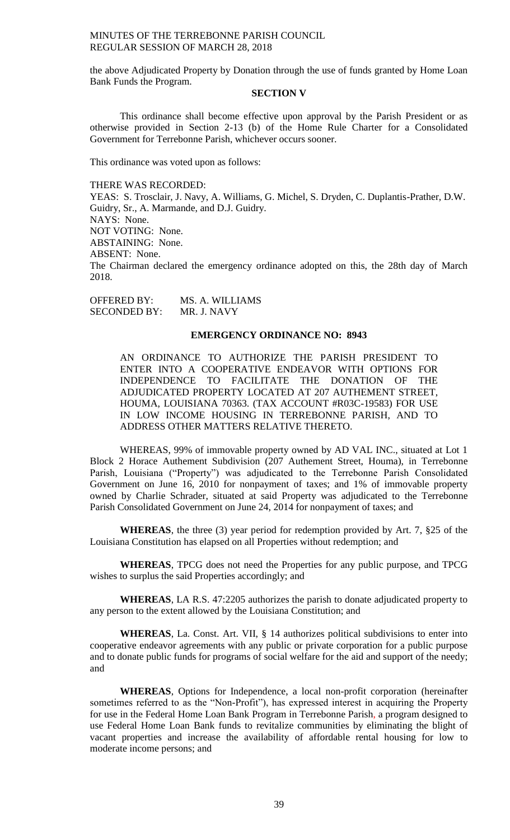the above Adjudicated Property by Donation through the use of funds granted by Home Loan Bank Funds the Program.

# **SECTION V**

This ordinance shall become effective upon approval by the Parish President or as otherwise provided in Section 2-13 (b) of the Home Rule Charter for a Consolidated Government for Terrebonne Parish, whichever occurs sooner.

This ordinance was voted upon as follows:

#### THERE WAS RECORDED:

YEAS: S. Trosclair, J. Navy, A. Williams, G. Michel, S. Dryden, C. Duplantis-Prather, D.W. Guidry, Sr., A. Marmande, and D.J. Guidry. NAYS: None.

NOT VOTING: None.

ABSTAINING: None.

ABSENT: None.

The Chairman declared the emergency ordinance adopted on this, the 28th day of March 2018.

OFFERED BY: MS. A. WILLIAMS SECONDED BY: MR. J. NAVY

# **EMERGENCY ORDINANCE NO: 8943**

AN ORDINANCE TO AUTHORIZE THE PARISH PRESIDENT TO ENTER INTO A COOPERATIVE ENDEAVOR WITH OPTIONS FOR INDEPENDENCE TO FACILITATE THE DONATION OF THE ADJUDICATED PROPERTY LOCATED AT 207 AUTHEMENT STREET, HOUMA, LOUISIANA 70363. (TAX ACCOUNT #R03C-19583) FOR USE IN LOW INCOME HOUSING IN TERREBONNE PARISH, AND TO ADDRESS OTHER MATTERS RELATIVE THERETO.

WHEREAS, 99% of immovable property owned by AD VAL INC., situated at Lot 1 Block 2 Horace Authement Subdivision (207 Authement Street, Houma), in Terrebonne Parish, Louisiana ("Property") was adjudicated to the Terrebonne Parish Consolidated Government on June 16, 2010 for nonpayment of taxes; and 1% of immovable property owned by Charlie Schrader, situated at said Property was adjudicated to the Terrebonne Parish Consolidated Government on June 24, 2014 for nonpayment of taxes; and

**WHEREAS**, the three (3) year period for redemption provided by Art. 7, §25 of the Louisiana Constitution has elapsed on all Properties without redemption; and

**WHEREAS**, TPCG does not need the Properties for any public purpose, and TPCG wishes to surplus the said Properties accordingly; and

**WHEREAS**, LA R.S. 47:2205 authorizes the parish to donate adjudicated property to any person to the extent allowed by the Louisiana Constitution; and

**WHEREAS**, La. Const. Art. VII, § 14 authorizes political subdivisions to enter into cooperative endeavor agreements with any public or private corporation for a public purpose and to donate public funds for programs of social welfare for the aid and support of the needy; and

**WHEREAS**, Options for Independence, a local non-profit corporation (hereinafter sometimes referred to as the "Non-Profit"), has expressed interest in acquiring the Property for use in the Federal Home Loan Bank Program in Terrebonne Parish, a program designed to use Federal Home Loan Bank funds to revitalize communities by eliminating the blight of vacant properties and increase the availability of affordable rental housing for low to moderate income persons; and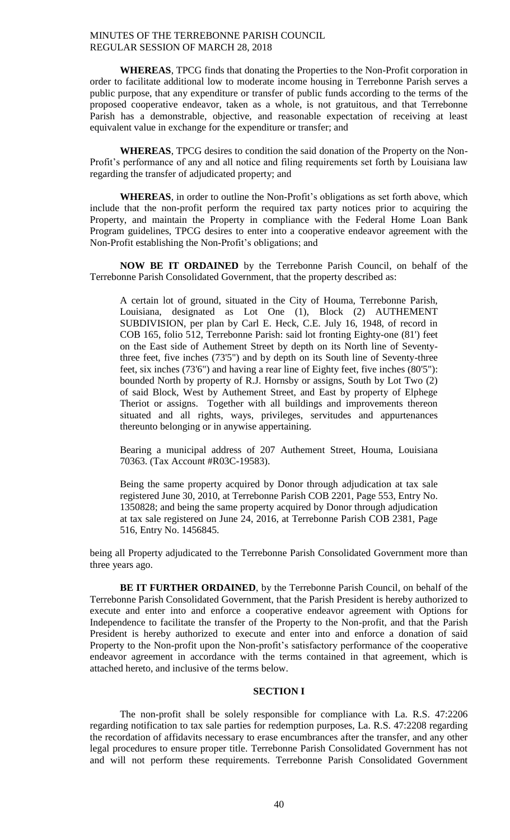**WHEREAS**, TPCG finds that donating the Properties to the Non-Profit corporation in order to facilitate additional low to moderate income housing in Terrebonne Parish serves a public purpose, that any expenditure or transfer of public funds according to the terms of the proposed cooperative endeavor, taken as a whole, is not gratuitous, and that Terrebonne Parish has a demonstrable, objective, and reasonable expectation of receiving at least equivalent value in exchange for the expenditure or transfer; and

**WHEREAS**, TPCG desires to condition the said donation of the Property on the Non-Profit's performance of any and all notice and filing requirements set forth by Louisiana law regarding the transfer of adjudicated property; and

**WHEREAS**, in order to outline the Non-Profit's obligations as set forth above, which include that the non-profit perform the required tax party notices prior to acquiring the Property, and maintain the Property in compliance with the Federal Home Loan Bank Program guidelines, TPCG desires to enter into a cooperative endeavor agreement with the Non-Profit establishing the Non-Profit's obligations; and

**NOW BE IT ORDAINED** by the Terrebonne Parish Council, on behalf of the Terrebonne Parish Consolidated Government, that the property described as:

A certain lot of ground, situated in the City of Houma, Terrebonne Parish, Louisiana, designated as Lot One (1), Block (2) AUTHEMENT SUBDIVISION, per plan by Carl E. Heck, C.E. July 16, 1948, of record in COB 165, folio 512, Terrebonne Parish: said lot fronting Eighty-one (81') feet on the East side of Authement Street by depth on its North line of Seventythree feet, five inches (73'5") and by depth on its South line of Seventy-three feet, six inches (73'6") and having a rear line of Eighty feet, five inches (80'5"): bounded North by property of R.J. Hornsby or assigns, South by Lot Two (2) of said Block, West by Authement Street, and East by property of Elphege Theriot or assigns. Together with all buildings and improvements thereon situated and all rights, ways, privileges, servitudes and appurtenances thereunto belonging or in anywise appertaining.

Bearing a municipal address of 207 Authement Street, Houma, Louisiana 70363. (Tax Account #R03C-19583).

Being the same property acquired by Donor through adjudication at tax sale registered June 30, 2010, at Terrebonne Parish COB 2201, Page 553, Entry No. 1350828; and being the same property acquired by Donor through adjudication at tax sale registered on June 24, 2016, at Terrebonne Parish COB 2381, Page 516, Entry No. 1456845.

being all Property adjudicated to the Terrebonne Parish Consolidated Government more than three years ago.

**BE IT FURTHER ORDAINED**, by the Terrebonne Parish Council, on behalf of the Terrebonne Parish Consolidated Government, that the Parish President is hereby authorized to execute and enter into and enforce a cooperative endeavor agreement with Options for Independence to facilitate the transfer of the Property to the Non-profit, and that the Parish President is hereby authorized to execute and enter into and enforce a donation of said Property to the Non-profit upon the Non-profit's satisfactory performance of the cooperative endeavor agreement in accordance with the terms contained in that agreement, which is attached hereto, and inclusive of the terms below.

## **SECTION I**

The non-profit shall be solely responsible for compliance with La. R.S. 47:2206 regarding notification to tax sale parties for redemption purposes, La. R.S. 47:2208 regarding the recordation of affidavits necessary to erase encumbrances after the transfer, and any other legal procedures to ensure proper title. Terrebonne Parish Consolidated Government has not and will not perform these requirements. Terrebonne Parish Consolidated Government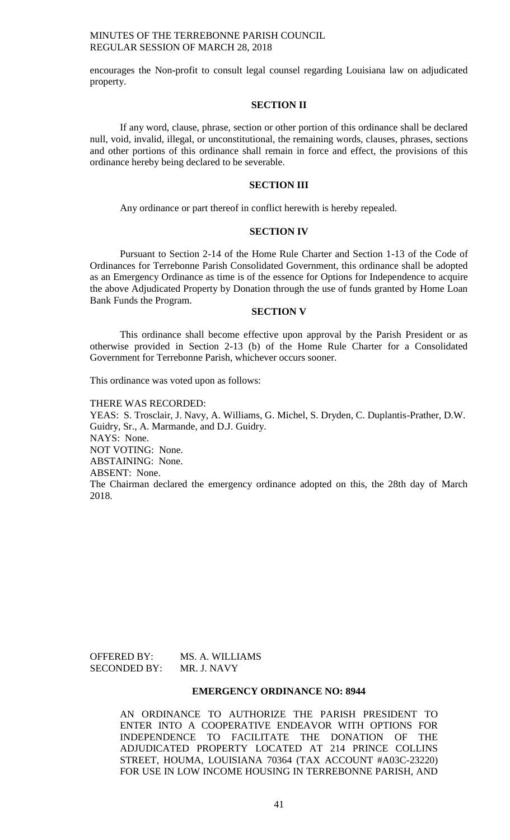encourages the Non-profit to consult legal counsel regarding Louisiana law on adjudicated property.

## **SECTION II**

If any word, clause, phrase, section or other portion of this ordinance shall be declared null, void, invalid, illegal, or unconstitutional, the remaining words, clauses, phrases, sections and other portions of this ordinance shall remain in force and effect, the provisions of this ordinance hereby being declared to be severable.

# **SECTION III**

Any ordinance or part thereof in conflict herewith is hereby repealed.

#### **SECTION IV**

Pursuant to Section 2-14 of the Home Rule Charter and Section 1-13 of the Code of Ordinances for Terrebonne Parish Consolidated Government, this ordinance shall be adopted as an Emergency Ordinance as time is of the essence for Options for Independence to acquire the above Adjudicated Property by Donation through the use of funds granted by Home Loan Bank Funds the Program.

# **SECTION V**

This ordinance shall become effective upon approval by the Parish President or as otherwise provided in Section 2-13 (b) of the Home Rule Charter for a Consolidated Government for Terrebonne Parish, whichever occurs sooner.

This ordinance was voted upon as follows:

THERE WAS RECORDED:

YEAS: S. Trosclair, J. Navy, A. Williams, G. Michel, S. Dryden, C. Duplantis-Prather, D.W. Guidry, Sr., A. Marmande, and D.J. Guidry. NAYS: None. NOT VOTING: None. ABSTAINING: None. ABSENT: None. The Chairman declared the emergency ordinance adopted on this, the 28th day of March 2018.

OFFERED BY: MS. A. WILLIAMS SECONDED BY: MR. J. NAVY

## **EMERGENCY ORDINANCE NO: 8944**

AN ORDINANCE TO AUTHORIZE THE PARISH PRESIDENT TO ENTER INTO A COOPERATIVE ENDEAVOR WITH OPTIONS FOR INDEPENDENCE TO FACILITATE THE DONATION OF THE ADJUDICATED PROPERTY LOCATED AT 214 PRINCE COLLINS STREET, HOUMA, LOUISIANA 70364 (TAX ACCOUNT #A03C-23220) FOR USE IN LOW INCOME HOUSING IN TERREBONNE PARISH, AND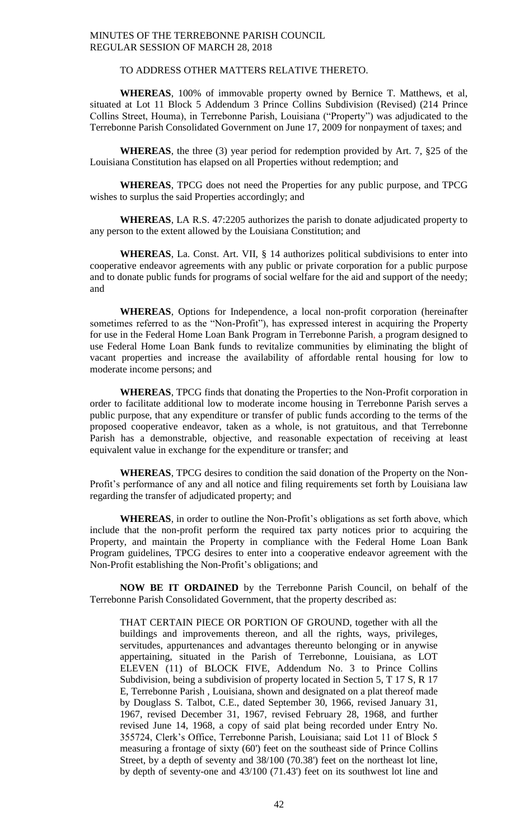# TO ADDRESS OTHER MATTERS RELATIVE THERETO.

**WHEREAS**, 100% of immovable property owned by Bernice T. Matthews, et al, situated at Lot 11 Block 5 Addendum 3 Prince Collins Subdivision (Revised) (214 Prince Collins Street, Houma), in Terrebonne Parish, Louisiana ("Property") was adjudicated to the Terrebonne Parish Consolidated Government on June 17, 2009 for nonpayment of taxes; and

**WHEREAS**, the three (3) year period for redemption provided by Art. 7, §25 of the Louisiana Constitution has elapsed on all Properties without redemption; and

**WHEREAS**, TPCG does not need the Properties for any public purpose, and TPCG wishes to surplus the said Properties accordingly; and

**WHEREAS**, LA R.S. 47:2205 authorizes the parish to donate adjudicated property to any person to the extent allowed by the Louisiana Constitution; and

**WHEREAS**, La. Const. Art. VII, § 14 authorizes political subdivisions to enter into cooperative endeavor agreements with any public or private corporation for a public purpose and to donate public funds for programs of social welfare for the aid and support of the needy; and

**WHEREAS**, Options for Independence, a local non-profit corporation (hereinafter sometimes referred to as the "Non-Profit"), has expressed interest in acquiring the Property for use in the Federal Home Loan Bank Program in Terrebonne Parish, a program designed to use Federal Home Loan Bank funds to revitalize communities by eliminating the blight of vacant properties and increase the availability of affordable rental housing for low to moderate income persons; and

**WHEREAS**, TPCG finds that donating the Properties to the Non-Profit corporation in order to facilitate additional low to moderate income housing in Terrebonne Parish serves a public purpose, that any expenditure or transfer of public funds according to the terms of the proposed cooperative endeavor, taken as a whole, is not gratuitous, and that Terrebonne Parish has a demonstrable, objective, and reasonable expectation of receiving at least equivalent value in exchange for the expenditure or transfer; and

**WHEREAS**, TPCG desires to condition the said donation of the Property on the Non-Profit's performance of any and all notice and filing requirements set forth by Louisiana law regarding the transfer of adjudicated property; and

**WHEREAS**, in order to outline the Non-Profit's obligations as set forth above, which include that the non-profit perform the required tax party notices prior to acquiring the Property, and maintain the Property in compliance with the Federal Home Loan Bank Program guidelines, TPCG desires to enter into a cooperative endeavor agreement with the Non-Profit establishing the Non-Profit's obligations; and

**NOW BE IT ORDAINED** by the Terrebonne Parish Council, on behalf of the Terrebonne Parish Consolidated Government, that the property described as:

THAT CERTAIN PIECE OR PORTION OF GROUND, together with all the buildings and improvements thereon, and all the rights, ways, privileges, servitudes, appurtenances and advantages thereunto belonging or in anywise appertaining, situated in the Parish of Terrebonne, Louisiana, as LOT ELEVEN (11) of BLOCK FIVE, Addendum No. 3 to Prince Collins Subdivision, being a subdivision of property located in Section 5, T 17 S, R 17 E, Terrebonne Parish , Louisiana, shown and designated on a plat thereof made by Douglass S. Talbot, C.E., dated September 30, 1966, revised January 31, 1967, revised December 31, 1967, revised February 28, 1968, and further revised June 14, 1968, a copy of said plat being recorded under Entry No. 355724, Clerk's Office, Terrebonne Parish, Louisiana; said Lot 11 of Block 5 measuring a frontage of sixty (60') feet on the southeast side of Prince Collins Street, by a depth of seventy and 38/100 (70.38') feet on the northeast lot line, by depth of seventy-one and 43/100 (71.43') feet on its southwest lot line and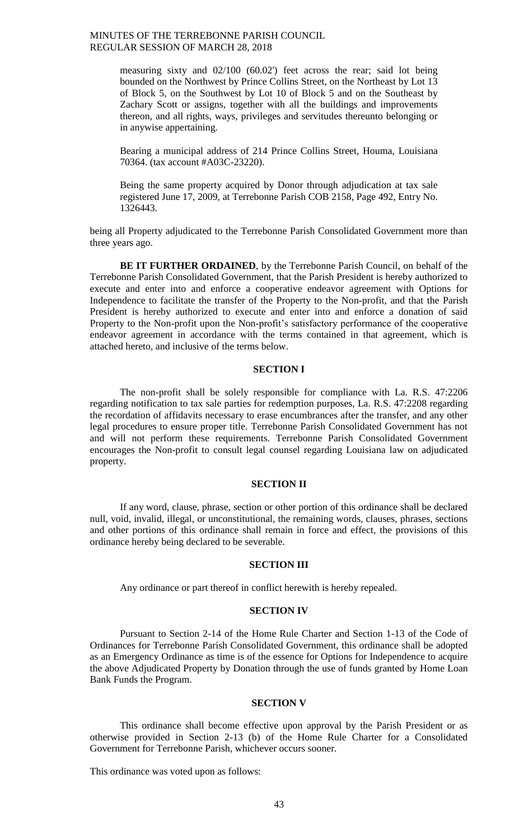measuring sixty and 02/100 (60.02') feet across the rear; said lot being bounded on the Northwest by Prince Collins Street, on the Northeast by Lot 13 of Block 5, on the Southwest by Lot 10 of Block 5 and on the Southeast by Zachary Scott or assigns, together with all the buildings and improvements thereon, and all rights, ways, privileges and servitudes thereunto belonging or in anywise appertaining.

Bearing a municipal address of 214 Prince Collins Street, Houma, Louisiana 70364. (tax account #A03C-23220).

Being the same property acquired by Donor through adjudication at tax sale registered June 17, 2009, at Terrebonne Parish COB 2158, Page 492, Entry No. 1326443.

being all Property adjudicated to the Terrebonne Parish Consolidated Government more than three years ago.

**BE IT FURTHER ORDAINED**, by the Terrebonne Parish Council, on behalf of the Terrebonne Parish Consolidated Government, that the Parish President is hereby authorized to execute and enter into and enforce a cooperative endeavor agreement with Options for Independence to facilitate the transfer of the Property to the Non-profit, and that the Parish President is hereby authorized to execute and enter into and enforce a donation of said Property to the Non-profit upon the Non-profit's satisfactory performance of the cooperative endeavor agreement in accordance with the terms contained in that agreement, which is attached hereto, and inclusive of the terms below.

# **SECTION I**

The non-profit shall be solely responsible for compliance with La. R.S. 47:2206 regarding notification to tax sale parties for redemption purposes, La. R.S. 47:2208 regarding the recordation of affidavits necessary to erase encumbrances after the transfer, and any other legal procedures to ensure proper title. Terrebonne Parish Consolidated Government has not and will not perform these requirements. Terrebonne Parish Consolidated Government encourages the Non-profit to consult legal counsel regarding Louisiana law on adjudicated property.

# **SECTION II**

If any word, clause, phrase, section or other portion of this ordinance shall be declared null, void, invalid, illegal, or unconstitutional, the remaining words, clauses, phrases, sections and other portions of this ordinance shall remain in force and effect, the provisions of this ordinance hereby being declared to be severable.

#### **SECTION III**

Any ordinance or part thereof in conflict herewith is hereby repealed.

#### **SECTION IV**

Pursuant to Section 2-14 of the Home Rule Charter and Section 1-13 of the Code of Ordinances for Terrebonne Parish Consolidated Government, this ordinance shall be adopted as an Emergency Ordinance as time is of the essence for Options for Independence to acquire the above Adjudicated Property by Donation through the use of funds granted by Home Loan Bank Funds the Program.

#### **SECTION V**

This ordinance shall become effective upon approval by the Parish President or as otherwise provided in Section 2-13 (b) of the Home Rule Charter for a Consolidated Government for Terrebonne Parish, whichever occurs sooner.

This ordinance was voted upon as follows: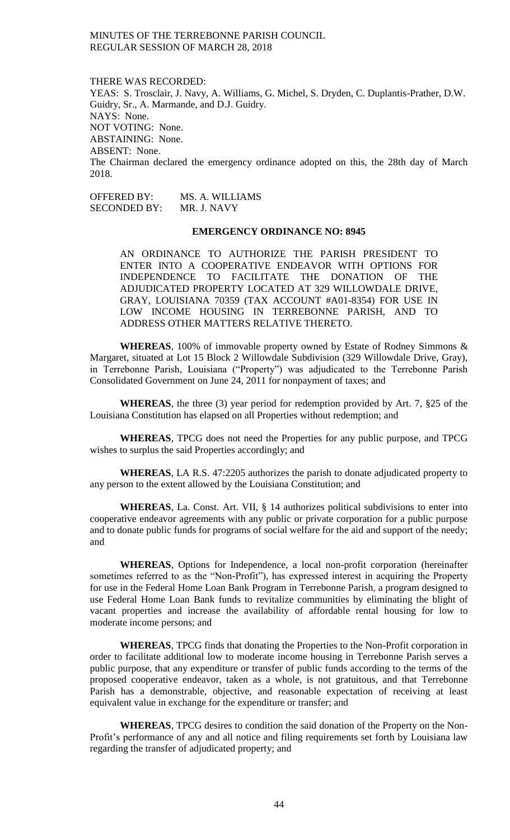THERE WAS RECORDED: YEAS: S. Trosclair, J. Navy, A. Williams, G. Michel, S. Dryden, C. Duplantis-Prather, D.W. Guidry, Sr., A. Marmande, and D.J. Guidry. NAYS: None. NOT VOTING: None. ABSTAINING: None. ABSENT: None. The Chairman declared the emergency ordinance adopted on this, the 28th day of March 2018.

OFFERED BY: MS. A. WILLIAMS<br>SECONDED BY: MR. J. NAVY SECONDED BY:

# **EMERGENCY ORDINANCE NO: 8945**

AN ORDINANCE TO AUTHORIZE THE PARISH PRESIDENT TO ENTER INTO A COOPERATIVE ENDEAVOR WITH OPTIONS FOR INDEPENDENCE TO FACILITATE THE DONATION OF THE ADJUDICATED PROPERTY LOCATED AT 329 WILLOWDALE DRIVE, GRAY, LOUISIANA 70359 (TAX ACCOUNT #A01-8354) FOR USE IN LOW INCOME HOUSING IN TERREBONNE PARISH, AND TO ADDRESS OTHER MATTERS RELATIVE THERETO.

**WHEREAS**, 100% of immovable property owned by Estate of Rodney Simmons & Margaret, situated at Lot 15 Block 2 Willowdale Subdivision (329 Willowdale Drive, Gray), in Terrebonne Parish, Louisiana ("Property") was adjudicated to the Terrebonne Parish Consolidated Government on June 24, 2011 for nonpayment of taxes; and

**WHEREAS**, the three (3) year period for redemption provided by Art. 7, §25 of the Louisiana Constitution has elapsed on all Properties without redemption; and

**WHEREAS**, TPCG does not need the Properties for any public purpose, and TPCG wishes to surplus the said Properties accordingly; and

**WHEREAS**, LA R.S. 47:2205 authorizes the parish to donate adjudicated property to any person to the extent allowed by the Louisiana Constitution; and

**WHEREAS**, La. Const. Art. VII, § 14 authorizes political subdivisions to enter into cooperative endeavor agreements with any public or private corporation for a public purpose and to donate public funds for programs of social welfare for the aid and support of the needy; and

**WHEREAS**, Options for Independence, a local non-profit corporation (hereinafter sometimes referred to as the "Non-Profit"), has expressed interest in acquiring the Property for use in the Federal Home Loan Bank Program in Terrebonne Parish, a program designed to use Federal Home Loan Bank funds to revitalize communities by eliminating the blight of vacant properties and increase the availability of affordable rental housing for low to moderate income persons; and

**WHEREAS**, TPCG finds that donating the Properties to the Non-Profit corporation in order to facilitate additional low to moderate income housing in Terrebonne Parish serves a public purpose, that any expenditure or transfer of public funds according to the terms of the proposed cooperative endeavor, taken as a whole, is not gratuitous, and that Terrebonne Parish has a demonstrable, objective, and reasonable expectation of receiving at least equivalent value in exchange for the expenditure or transfer; and

**WHEREAS**, TPCG desires to condition the said donation of the Property on the Non-Profit's performance of any and all notice and filing requirements set forth by Louisiana law regarding the transfer of adjudicated property; and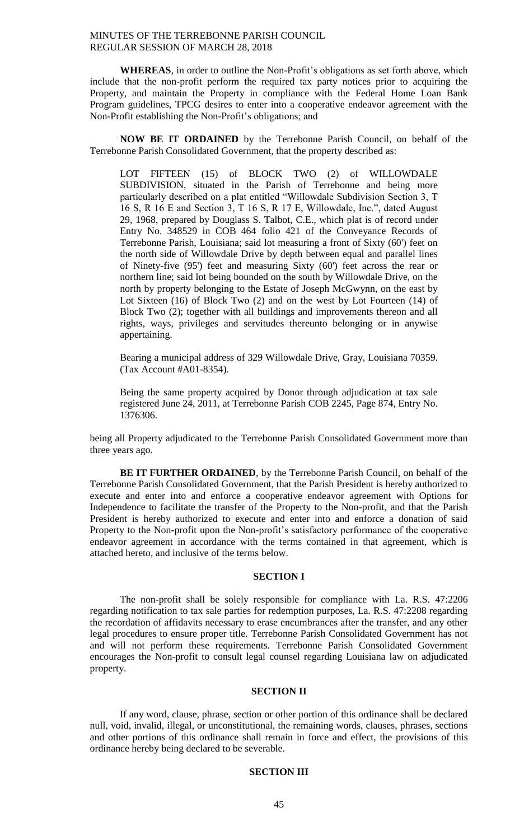**WHEREAS**, in order to outline the Non-Profit's obligations as set forth above, which include that the non-profit perform the required tax party notices prior to acquiring the Property, and maintain the Property in compliance with the Federal Home Loan Bank Program guidelines, TPCG desires to enter into a cooperative endeavor agreement with the Non-Profit establishing the Non-Profit's obligations; and

**NOW BE IT ORDAINED** by the Terrebonne Parish Council, on behalf of the Terrebonne Parish Consolidated Government, that the property described as:

LOT FIFTEEN (15) of BLOCK TWO (2) of WILLOWDALE SUBDIVISION, situated in the Parish of Terrebonne and being more particularly described on a plat entitled "Willowdale Subdivision Section 3, T 16 S, R 16 E and Section 3, T 16 S, R 17 E, Willowdale, Inc.", dated August 29, 1968, prepared by Douglass S. Talbot, C.E., which plat is of record under Entry No. 348529 in COB 464 folio 421 of the Conveyance Records of Terrebonne Parish, Louisiana; said lot measuring a front of Sixty (60') feet on the north side of Willowdale Drive by depth between equal and parallel lines of Ninety-five (95') feet and measuring Sixty (60') feet across the rear or northern line; said lot being bounded on the south by Willowdale Drive, on the north by property belonging to the Estate of Joseph McGwynn, on the east by Lot Sixteen (16) of Block Two (2) and on the west by Lot Fourteen (14) of Block Two (2); together with all buildings and improvements thereon and all rights, ways, privileges and servitudes thereunto belonging or in anywise appertaining.

Bearing a municipal address of 329 Willowdale Drive, Gray, Louisiana 70359. (Tax Account #A01-8354).

Being the same property acquired by Donor through adjudication at tax sale registered June 24, 2011, at Terrebonne Parish COB 2245, Page 874, Entry No. 1376306.

being all Property adjudicated to the Terrebonne Parish Consolidated Government more than three years ago.

**BE IT FURTHER ORDAINED**, by the Terrebonne Parish Council, on behalf of the Terrebonne Parish Consolidated Government, that the Parish President is hereby authorized to execute and enter into and enforce a cooperative endeavor agreement with Options for Independence to facilitate the transfer of the Property to the Non-profit, and that the Parish President is hereby authorized to execute and enter into and enforce a donation of said Property to the Non-profit upon the Non-profit's satisfactory performance of the cooperative endeavor agreement in accordance with the terms contained in that agreement, which is attached hereto, and inclusive of the terms below.

#### **SECTION I**

The non-profit shall be solely responsible for compliance with La. R.S. 47:2206 regarding notification to tax sale parties for redemption purposes, La. R.S. 47:2208 regarding the recordation of affidavits necessary to erase encumbrances after the transfer, and any other legal procedures to ensure proper title. Terrebonne Parish Consolidated Government has not and will not perform these requirements. Terrebonne Parish Consolidated Government encourages the Non-profit to consult legal counsel regarding Louisiana law on adjudicated property.

## **SECTION II**

If any word, clause, phrase, section or other portion of this ordinance shall be declared null, void, invalid, illegal, or unconstitutional, the remaining words, clauses, phrases, sections and other portions of this ordinance shall remain in force and effect, the provisions of this ordinance hereby being declared to be severable.

# **SECTION III**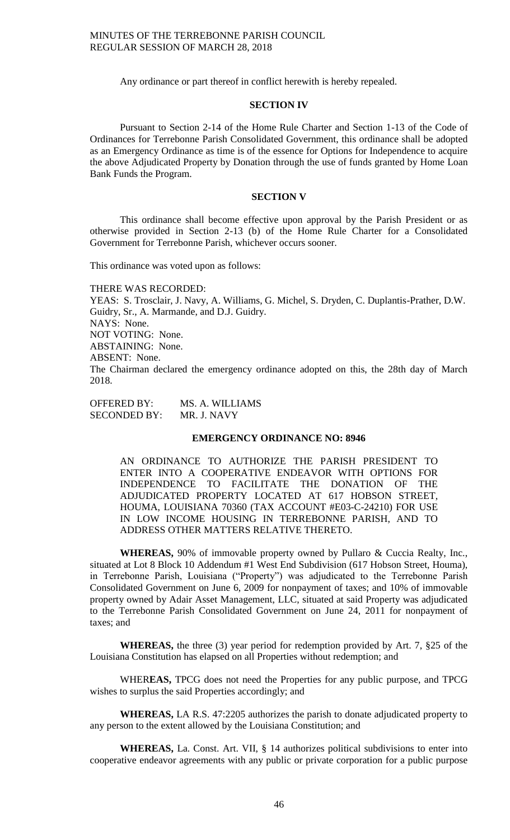Any ordinance or part thereof in conflict herewith is hereby repealed.

## **SECTION IV**

Pursuant to Section 2-14 of the Home Rule Charter and Section 1-13 of the Code of Ordinances for Terrebonne Parish Consolidated Government, this ordinance shall be adopted as an Emergency Ordinance as time is of the essence for Options for Independence to acquire the above Adjudicated Property by Donation through the use of funds granted by Home Loan Bank Funds the Program.

#### **SECTION V**

This ordinance shall become effective upon approval by the Parish President or as otherwise provided in Section 2-13 (b) of the Home Rule Charter for a Consolidated Government for Terrebonne Parish, whichever occurs sooner.

This ordinance was voted upon as follows:

THERE WAS RECORDED: YEAS: S. Trosclair, J. Navy, A. Williams, G. Michel, S. Dryden, C. Duplantis-Prather, D.W. Guidry, Sr., A. Marmande, and D.J. Guidry. NAYS: None. NOT VOTING: None. ABSTAINING: None. ABSENT: None. The Chairman declared the emergency ordinance adopted on this, the 28th day of March 2018.

OFFERED BY: MS. A. WILLIAMS SECONDED BY: MR. J. NAVY

# **EMERGENCY ORDINANCE NO: 8946**

AN ORDINANCE TO AUTHORIZE THE PARISH PRESIDENT TO ENTER INTO A COOPERATIVE ENDEAVOR WITH OPTIONS FOR INDEPENDENCE TO FACILITATE THE DONATION OF THE ADJUDICATED PROPERTY LOCATED AT 617 HOBSON STREET, HOUMA, LOUISIANA 70360 (TAX ACCOUNT #E03-C-24210) FOR USE IN LOW INCOME HOUSING IN TERREBONNE PARISH, AND TO ADDRESS OTHER MATTERS RELATIVE THERETO.

**WHEREAS,** 90% of immovable property owned by Pullaro & Cuccia Realty, Inc., situated at Lot 8 Block 10 Addendum #1 West End Subdivision (617 Hobson Street, Houma), in Terrebonne Parish, Louisiana ("Property") was adjudicated to the Terrebonne Parish Consolidated Government on June 6, 2009 for nonpayment of taxes; and 10% of immovable property owned by Adair Asset Management, LLC, situated at said Property was adjudicated to the Terrebonne Parish Consolidated Government on June 24, 2011 for nonpayment of taxes; and

**WHEREAS,** the three (3) year period for redemption provided by Art. 7, §25 of the Louisiana Constitution has elapsed on all Properties without redemption; and

WHER**EAS,** TPCG does not need the Properties for any public purpose, and TPCG wishes to surplus the said Properties accordingly; and

**WHEREAS,** LA R.S. 47:2205 authorizes the parish to donate adjudicated property to any person to the extent allowed by the Louisiana Constitution; and

**WHEREAS,** La. Const. Art. VII, § 14 authorizes political subdivisions to enter into cooperative endeavor agreements with any public or private corporation for a public purpose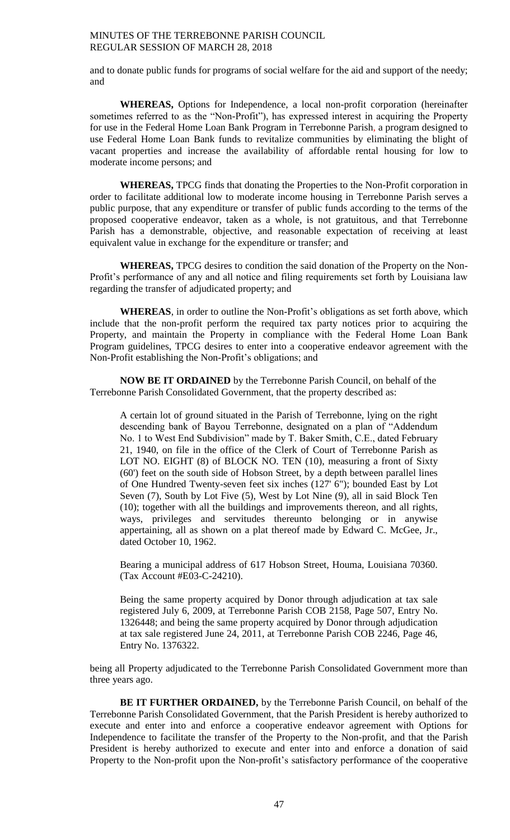and to donate public funds for programs of social welfare for the aid and support of the needy; and

**WHEREAS,** Options for Independence, a local non-profit corporation (hereinafter sometimes referred to as the "Non-Profit"), has expressed interest in acquiring the Property for use in the Federal Home Loan Bank Program in Terrebonne Parish, a program designed to use Federal Home Loan Bank funds to revitalize communities by eliminating the blight of vacant properties and increase the availability of affordable rental housing for low to moderate income persons; and

**WHEREAS,** TPCG finds that donating the Properties to the Non-Profit corporation in order to facilitate additional low to moderate income housing in Terrebonne Parish serves a public purpose, that any expenditure or transfer of public funds according to the terms of the proposed cooperative endeavor, taken as a whole, is not gratuitous, and that Terrebonne Parish has a demonstrable, objective, and reasonable expectation of receiving at least equivalent value in exchange for the expenditure or transfer; and

**WHEREAS,** TPCG desires to condition the said donation of the Property on the Non-Profit's performance of any and all notice and filing requirements set forth by Louisiana law regarding the transfer of adjudicated property; and

**WHEREAS**, in order to outline the Non-Profit's obligations as set forth above, which include that the non-profit perform the required tax party notices prior to acquiring the Property, and maintain the Property in compliance with the Federal Home Loan Bank Program guidelines, TPCG desires to enter into a cooperative endeavor agreement with the Non-Profit establishing the Non-Profit's obligations; and

**NOW BE IT ORDAINED** by the Terrebonne Parish Council, on behalf of the Terrebonne Parish Consolidated Government, that the property described as:

A certain lot of ground situated in the Parish of Terrebonne, lying on the right descending bank of Bayou Terrebonne, designated on a plan of "Addendum No. 1 to West End Subdivision" made by T. Baker Smith, C.E., dated February 21, 1940, on file in the office of the Clerk of Court of Terrebonne Parish as LOT NO. EIGHT (8) of BLOCK NO. TEN (10), measuring a front of Sixty (60') feet on the south side of Hobson Street, by a depth between parallel lines of One Hundred Twenty-seven feet six inches (127' 6"); bounded East by Lot Seven (7), South by Lot Five (5), West by Lot Nine (9), all in said Block Ten (10); together with all the buildings and improvements thereon, and all rights, ways, privileges and servitudes thereunto belonging or in anywise appertaining, all as shown on a plat thereof made by Edward C. McGee, Jr., dated October 10, 1962.

Bearing a municipal address of 617 Hobson Street, Houma, Louisiana 70360. (Tax Account #E03-C-24210).

Being the same property acquired by Donor through adjudication at tax sale registered July 6, 2009, at Terrebonne Parish COB 2158, Page 507, Entry No. 1326448; and being the same property acquired by Donor through adjudication at tax sale registered June 24, 2011, at Terrebonne Parish COB 2246, Page 46, Entry No. 1376322.

being all Property adjudicated to the Terrebonne Parish Consolidated Government more than three years ago.

**BE IT FURTHER ORDAINED,** by the Terrebonne Parish Council, on behalf of the Terrebonne Parish Consolidated Government, that the Parish President is hereby authorized to execute and enter into and enforce a cooperative endeavor agreement with Options for Independence to facilitate the transfer of the Property to the Non-profit, and that the Parish President is hereby authorized to execute and enter into and enforce a donation of said Property to the Non-profit upon the Non-profit's satisfactory performance of the cooperative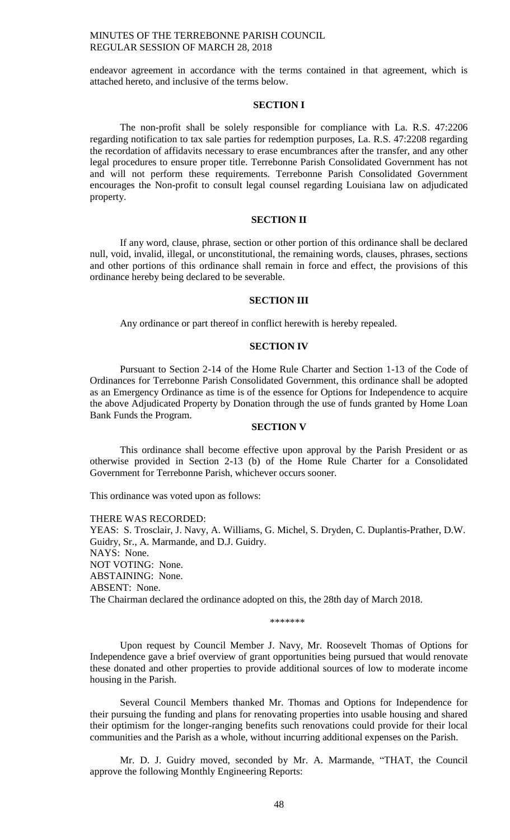endeavor agreement in accordance with the terms contained in that agreement, which is attached hereto, and inclusive of the terms below.

### **SECTION I**

The non-profit shall be solely responsible for compliance with La. R.S. 47:2206 regarding notification to tax sale parties for redemption purposes, La. R.S. 47:2208 regarding the recordation of affidavits necessary to erase encumbrances after the transfer, and any other legal procedures to ensure proper title. Terrebonne Parish Consolidated Government has not and will not perform these requirements. Terrebonne Parish Consolidated Government encourages the Non-profit to consult legal counsel regarding Louisiana law on adjudicated property.

# **SECTION II**

If any word, clause, phrase, section or other portion of this ordinance shall be declared null, void, invalid, illegal, or unconstitutional, the remaining words, clauses, phrases, sections and other portions of this ordinance shall remain in force and effect, the provisions of this ordinance hereby being declared to be severable.

# **SECTION III**

Any ordinance or part thereof in conflict herewith is hereby repealed.

### **SECTION IV**

Pursuant to Section 2-14 of the Home Rule Charter and Section 1-13 of the Code of Ordinances for Terrebonne Parish Consolidated Government, this ordinance shall be adopted as an Emergency Ordinance as time is of the essence for Options for Independence to acquire the above Adjudicated Property by Donation through the use of funds granted by Home Loan Bank Funds the Program.

### **SECTION V**

This ordinance shall become effective upon approval by the Parish President or as otherwise provided in Section 2-13 (b) of the Home Rule Charter for a Consolidated Government for Terrebonne Parish, whichever occurs sooner.

This ordinance was voted upon as follows:

THERE WAS RECORDED: YEAS: S. Trosclair, J. Navy, A. Williams, G. Michel, S. Dryden, C. Duplantis-Prather, D.W. Guidry, Sr., A. Marmande, and D.J. Guidry. NAYS: None. NOT VOTING: None. ABSTAINING: None. ABSENT: None. The Chairman declared the ordinance adopted on this, the 28th day of March 2018.

\*\*\*\*\*\*\*

Upon request by Council Member J. Navy, Mr. Roosevelt Thomas of Options for Independence gave a brief overview of grant opportunities being pursued that would renovate these donated and other properties to provide additional sources of low to moderate income housing in the Parish.

Several Council Members thanked Mr. Thomas and Options for Independence for their pursuing the funding and plans for renovating properties into usable housing and shared their optimism for the longer-ranging benefits such renovations could provide for their local communities and the Parish as a whole, without incurring additional expenses on the Parish.

Mr. D. J. Guidry moved, seconded by Mr. A. Marmande, "THAT, the Council approve the following Monthly Engineering Reports: